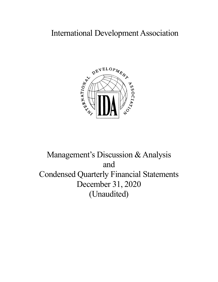## International Development Association



# Management's Discussion & Analysis and Condensed Quarterly Financial Statements December 31, 2020 (Unaudited)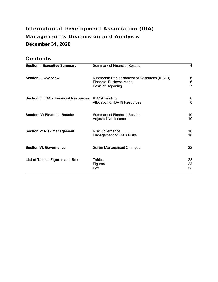## **International Development Association (IDA) Management's Discussion and Analysis December 31, 2020**

## **Contents**

| <b>Section I: Executive Summary</b>           | <b>Summary of Financial Results</b>                                                                           | 4                            |
|-----------------------------------------------|---------------------------------------------------------------------------------------------------------------|------------------------------|
| <b>Section II: Overview</b>                   | Nineteenth Replenishment of Resources (IDA19)<br><b>Financial Business Model</b><br><b>Basis of Reporting</b> | 6<br>$\,6$<br>$\overline{7}$ |
| <b>Section III: IDA's Financial Resources</b> | <b>IDA19 Funding</b><br>Allocation of IDA19 Resources                                                         | 8<br>8                       |
| <b>Section IV: Financial Results</b>          | <b>Summary of Financial Results</b><br>Adjusted Net Income                                                    | 10<br>10                     |
| <b>Section V: Risk Management</b>             | <b>Risk Governance</b><br>Management of IDA's Risks                                                           | 16<br>16                     |
| <b>Section VI: Governance</b>                 | Senior Management Changes                                                                                     | 22                           |
| List of Tables, Figures and Box               | Tables<br>Figures<br>Box                                                                                      | 23<br>23<br>23               |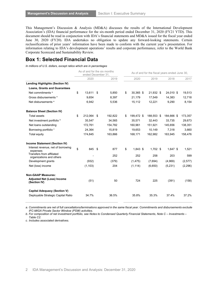This Management's Discussion & Analysis (MD&A) discusses the results of the International Development Association's (IDA) financial performance for the six-month period ended December 31, 2020 (FY21 YTD). This document should be read in conjunction with IDA's financial statements and MD&A issued for the fiscal year ended June 30, 2020 (FY20). IDA undertakes no obligation to update any forward-looking statements. Certain reclassifications of prior years' information have been made to conform with the current year's presentation. For information relating to IDA's development operations' results and corporate performance, refer to the World Bank Corporate Scorecard and Sustainability Review.

## **Box 1: Selected Financial Data**

*In millions of U.S. dollars, except ratios which are in percentages*

|                                                       | As of and for the six months<br>ended December 31. |               |                  | As of and for the fiscal years ended June 30, |            |          |
|-------------------------------------------------------|----------------------------------------------------|---------------|------------------|-----------------------------------------------|------------|----------|
|                                                       | 2020                                               | 2019          | 2020             | 2019                                          | 2018       | 2017     |
| <b>Lending Highlights (Section IV)</b>                |                                                    |               |                  |                                               |            |          |
| <b>Loans, Grants and Guarantees</b>                   |                                                    |               |                  |                                               |            |          |
| Net commitments <sup>a</sup>                          | \$<br>13.611 \$                                    | 5,850         | \$<br>30.365 \$  | 21,932 \$                                     | 24,010 \$  | 19,513   |
| Gross disbursements <sup>a</sup>                      | 9,654                                              | 8,397         | 21,179           | 17,549                                        | 14,383     | 12,718   |
| Net disbursements <sup>a</sup>                        | 6,942                                              | 5,536         | 15,112           | 12,221                                        | 9,290      | 8,154    |
| <b>Balance Sheet (Section IV)</b>                     |                                                    |               |                  |                                               |            |          |
| <b>Total assets</b>                                   | \$<br>212,064                                      | \$<br>192,822 | \$<br>199,472 \$ | 188,553 \$                                    | 184,666 \$ | 173,357  |
| Net investment portfolio b                            | 35,547                                             | 34,565        | 35,571           | 32,443                                        | 33,735     | 29,673   |
| Net loans outstanding                                 | 172,761                                            | 154,782       | 160,961          | 151,921                                       | 145,656    | 138,351  |
| Borrowing portfolio <sup>c</sup>                      | 24,364                                             | 15,819        | 19,653           | 10,149                                        | 7,318      | 3,660    |
| Total equity                                          | 174,845                                            | 163,866       | 168,171          | 162,982                                       | 163.945    | 158,476  |
| Income Statement (Section IV)                         |                                                    |               |                  |                                               |            |          |
| Interest revenue, net of borrowing<br>expenses        | \$<br>845 \$                                       | 877           | \$<br>1,843 \$   | $1,702$ \$                                    | $1,647$ \$ | 1,521    |
| Transfers from affiliated<br>organizations and others |                                                    | 252           | 252              | 258                                           | 203        | 599      |
| Development grants                                    | (932)                                              | (379)         | (1, 475)         | (7,694)                                       | (4,969)    | (2,577)  |
| Net (loss) income                                     | (1, 103)                                           | 204           | (1, 114)         | (6,650)                                       | (5,231)    | (2, 296) |
| <b>Non-GAAP Measures:</b>                             |                                                    |               |                  |                                               |            |          |
| <b>Adjusted Net (Loss) Income</b><br>(Section IV)     | (51)                                               | 50            | 724              | 225                                           | (391)      | (158)    |
| <b>Capital Adequacy (Section V)</b>                   |                                                    |               |                  |                                               |            |          |
| Deployable Strategic Capital Ratio                    | 34.7%                                              | 36.5%         | 35.8%            | 35.3%                                         | 37.4%      | 37.2%    |

*a. Commitments are net of full cancellations/terminations approved in the same fiscal year. Commitments and disbursements exclude IFC-MIGA Private Sector Window (PSW) activities.*

*b. For composition of net investment portfolio, see Notes to Condensed Quarterly Financial Statements, Note C – Investments – Table C2.*

*c. Includes associated derivatives.*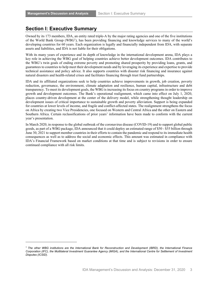## **Section I: Executive Summary**

Owned by its 173 members, IDA, an entity rated triple-A by the major rating agencies and one of the five institutions of the World Bank Group (WBG<sup>1</sup>), has been providing financing and knowledge services to many of the world's developing countries for 60 years. Each organization is legally and financially independent from IDA, with separate assets and liabilities, and IDA is not liable for their obligations.

With its many years of experience and its depth of knowledge in the international development arena, IDA plays a key role in achieving the WBG goal of helping countries achieve better development outcomes. IDA contributes to the WBG's twin goals of ending extreme poverty and promoting shared prosperity by providing loans, grants, and guarantees to countries to help meet their development needs and by leveraging its experience and expertise to provide technical assistance and policy advice. It also supports countries with disaster risk financing and insurance against natural disasters and health-related crises and facilitates financing through trust fund partnerships.

IDA and its affiliated organizations seek to help countries achieve improvements in growth, job creation, poverty reduction, governance, the environment, climate adaptation and resilience, human capital, infrastructure and debt transparency. To meet its development goals, the WBG is increasing its focus on country programs in order to improve growth and development outcomes. The Bank's operational realignment, which came into effect on July 1, 2020, places country-driven development at the center of the delivery model, while strengthening thought leadership on development issues of critical importance to sustainable growth and poverty alleviation. Support is being expanded for countries at lower levels of income, and fragile and conflict-affected states. The realignment strengthens the focus on Africa by creating two Vice Presidencies, one focused on Western and Central Africa and the other on Eastern and Southern Africa. Certain reclassifications of prior years' information have been made to conform with the current year's presentation.

In March 2020, in response to the global outbreak of the coronavirus disease (COVID-19) and to support global public goods, as part of a WBG package, IDA announced that it could deploy an estimated range of \$50 - \$55 billion through June 30, 2021 to support member countries in their efforts to contain the pandemic and respond to its immediate health consequences as well as to address the social and economic effects. This amount was estimated in compliance with IDA's Financial Framework based on market conditions at that time and is subject to revisions in order to ensure continued compliance with all risk limits.

<sup>1</sup> *The other WBG institutions are the International Bank for Reconstruction and Development (IBRD), the International Finance Corporation (IFC), the Multilateral Investment Guarantee Agency (MIGA), and the International Centre for Settlement of Investment Disputes (ICSID).*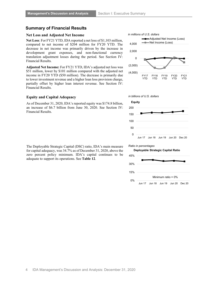## **Summary of Financial Results**

## **Net Loss and Adjusted Net Income**

**Net Loss**: For FY21 YTD, IDA reported a net loss of \$1,103 million, compared to net income of \$204 million for FY20 YTD. The decrease in net income was primarily driven by the increase in development grant expenses, and non-functional currency translation adjustment losses during the period. See Section IV: Financial Results.

**Adjusted Net Income:** For FY21 YTD, IDA's adjusted net loss was \$51 million, lower by \$101 million compared with the adjusted net income in FY20 YTD (\$50 million). The decrease is primarily due to lower investment revenue and a higher loan loss provision charge, partially offset by higher loan interest revenue. See Section IV: Financial Results.

## **Equity and Capital Adequacy**

As of December 31, 2020, IDA's reported equity was \$174.8 billion, an increase of \$6.7 billion from June 30, 2020. See Section IV: Financial Results.

The Deployable Strategic Capital (DSC) ratio, IDA's main measure for capital adequacy, was 34.7% as of December 31, 2020, above the zero percent policy minimum. IDA's capital continues to be adequate to support its operations. See **Table 12**.



*in billions of U.S. dollars* 



#### *Ratio in percentages*

**Deployable Strategic Capital Ratio**

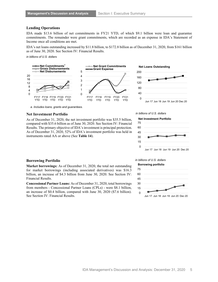### **Lending Operations**

IDA made \$13.6 billion of net commitments in FY21 YTD, of which \$9.1 billion were loan and guarantee commitments. The remainder were grant commitments, which are recorded as an expense in IDA's Statement of Income once all conditions are met.

IDA's net loans outstanding increased by \$11.8 billion, to \$172.8 billion as of December 31, 2020, from \$161 billion as of June 30, 2020. See Section IV: Financial Results.

*in billions of U.S. dollars*



*a. Includes loans, grants and guarantees.*

#### **Net Investment Portfolio**

As of December 31, 2020, the net investment portfolio was \$35.5 billion, compared with \$35.6 billion as of June 30, 2020. See Section IV: Financial Results. The primary objective of IDA's investment is principal protection. As of December 31, 2020, 52% of IDA's investment portfolio was held in instruments rated AA or above (See **Table 14**).



#### *in billions of U.S. dollars*

#### **Net Investment Portfolio**



## **Borrowing Portfolio**

**Market borrowings:** As of December 31, 2020, the total net outstanding for market borrowings (including associated derivatives) was \$16.3 billion, an increase of \$4.3 billion from June 30, 2020. See Section IV: Financial Results.

**Concessional Partner Loans:** As of December 31, 2020, total borrowings from members - Concessional Partner Loans (CPLs) - were \$8.1 billion, an increase of \$0.4 billion, compared with June 30, 2020 (\$7.6 billion). See Section IV: Financial Results.



#### **Borrowing portfolio**



Jun 17 Jun 18 Jun 19 Jun 20 Dec 20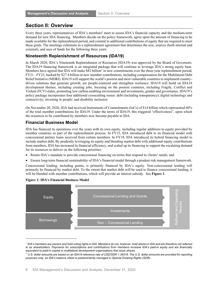## **Section II: Overview**

Every three years, representatives of IDA's members<sup>2</sup> meet to assess IDA's financial capacity and the medium-term demand for new IDA financing. Members decide on the policy framework, agree upon the amount of financing to be made available for the replenishment period, and commit to additional contributions of equity that are required to meet these goals. The meetings culminate in a replenishment agreement that determines the size, sources (both internal and external), and uses of funds for the following three years.

## **Nineteenth Replenishment of Resources (IDA19)**

In March 2020, IDA's Nineteenth Replenishment of Resources (IDA19) was approved by the Board of Governors. The IDA19 financing framework is an integrated package that will continue to leverage IDA's strong equity base. Members have agreed that IDA will make \$82 billion<sup>3</sup> in new commitments over the three-year replenishment period, FY21 - FY23, backed by \$27.4 billion in new member contributions, including compensation for the Multilateral Debt Relief Initiative (MDRI). IDA19 will support the world's poorest and most vulnerable countries to implement countrydriven solutions that generate growth, are people-centered and strengthen resilience. IDA19 will build on IDA18 development themes, including creating jobs, focusing on the poorest countries, including Fragile, Conflict and Violent (FCV) states, promoting low carbon enabling environment and investments, gender and governance. IDA19's policy package incorporates four additional crosscutting issues: debt (including transparency); digital technology and connectivity; investing in people; and disability inclusion.

On November 20, 2020, IDA had received Instruments of Commitments (IoCs) of \$14 billion which represented 60% of the total member contributions for IDA19. Under the terms of IDA19, this triggered "effectiveness", upon which the resources to be contributed by members now become payable to IDA.

## **Financial Business Model**

IDA has financed its operations over the years with its own equity, including regular additions to equity provided by member countries as part of the replenishment process. In FY15, IDA introduced debt to its financial model with concessional partner loans received from certain members. In FY18, IDA introduced its hybrid financing model to include market debt. By prudently leveraging its equity and blending market debt with additional equity contributions from members, IDA has increased its financial efficiency, and scaled up its financing to support the escalating demand for its resources to deliver on the following priorities:

- Retain IDA's mandate to provide concessional financing on terms that respond to clients' needs; and
- Ensure long-term financial sustainability of IDA's financial model through a prudent risk management framework.

Concessional lending, including grants, is primarily financed by IDA's equity. Non-concessional lending will primarily be financed by market debt. To the extent that market debt will be used to finance concessional lending, it will be blended with member contributions, which will provide an interest subsidy. See **Figure 1**.



## **Figure 1: IDA's Financial Business Model**

<sup>2</sup> *IDA's members are owners and hold voting rights in IDA. Members do not, however, hold shares in IDA and are therefore not referred to as shareholders. Payments for subscriptions and contributions from members increase IDA's paid-in equity and are financially equivalent to paid-in capital in multilateral development organizations that issue shares.*

<sup>3</sup> *U.S. dollar amounts are based on an IDA19 reference rate of USD/SDR 1.38318. The U.S. dollar amounts are provided for reporting purposes only, as IDA's balance sheet is predominantly managed in Special Drawing Rights (SDR).*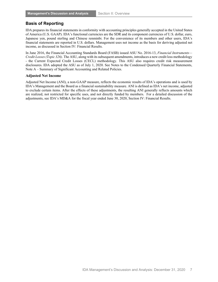## **Basis of Reporting**

IDA prepares its financial statements in conformity with accounting principles generally accepted in the United States of America (U.S. GAAP). IDA's functional currencies are the SDR and its component currencies of U.S. dollar, euro, Japanese yen, pound sterling and Chinese renminbi. For the convenience of its members and other users, IDA's financial statements are reported in U.S. dollars. Management uses net income as the basis for deriving adjusted net income, as discussed in Section IV: Financial Results.

In June 2016, the Financial Accounting Standards Board (FASB) issued ASU No. 2016-13, *Financial Instruments— Credit Losses (Topic 326)*. The ASU, along with its subsequent amendments, introduces a new credit loss methodology - the Current Expected Credit Losses (CECL) methodology. This ASU also requires credit risk measurement disclosures. IDA adopted the ASU as of July 1, 2020. See Notes to the Condensed Quarterly Financial Statements, Note A – Summary of Significant Accounting and Related Policies.

## **Adjusted Net Income**

Adjusted Net Income (ANI), a non-GAAP measure, reflects the economic results of IDA's operations and is used by IDA's Management and the Board as a financial sustainability measure. ANI is defined as IDA's net income, adjusted to exclude certain items. After the effects of these adjustments, the resulting ANI generally reflects amounts which are realized, not restricted for specific uses, and not directly funded by members. For a detailed discussion of the adjustments, see IDA's MD&A for the fiscal year ended June 30, 2020, Section IV: Financial Results.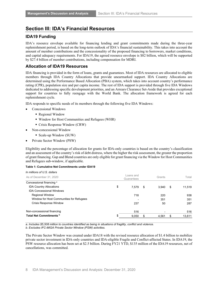## **Section III: IDA's Financial Resources**

## **IDA19 Funding**

IDA's resource envelope available for financing lending and grant commitments made during the three-year replenishment period, is based on the long-term outlook of IDA's financial sustainability. This takes into account the amount of member contributions and the concessionality of the proposed financing to borrowers, market conditions, and capital adequacy requirements. For IDA19, the agreed resource envelope is \$82 billion, which will be supported by \$27.4 billion of member contributions, including compensation for MDRI.

## **Allocation of IDA19 Resources**

IDA financing is provided in the form of loans, grants and guarantees. Most of IDA resources are allocated to eligible members through IDA Country Allocations that provide unearmarked support. IDA Country Allocations are determined using the Performance Based Allocation (PBA) system, which takes into account country's performance rating (CPR), population size and per capita income. The rest of IDA support is provided through five IDA Windows dedicated to addressing specific development priorities, and an Arrears Clearance Set-Aside that provides exceptional support for countries to fully reengage with the World Bank. The allocation framework is agreed for each replenishment cycle.

IDA responds to specific needs of its members through the following five IDA Windows:

- Concessional Windows
	- Regional Window
	- Window for Host Communities and Refugees (WHR)
	- Crisis Response Window (CRW)
- Non-concessional Window
	- Scale-up Window (SUW)
- Private Sector Window (PSW)

Eligibility and the percentage of allocation for grants for IDA-only countries is based on the country's classification and an assessment of the country's risk of debt distress, where the higher the risk assessment, the greater the proportion of grant financing. Gap and Blend countries are only eligible for grant financing via the Window for Host Communities and Refugees sub-window, if applicable.

### **Table 1: Cumulative Net Commitments under IDA19**

| In millions of U.S. dollars              |                          |     |        |              |
|------------------------------------------|--------------------------|-----|--------|--------------|
| As of December 31, 2020                  | Loans and<br>Guarantees  |     | Grants | Total        |
| Concessional financing <sup>a</sup>      |                          |     |        |              |
| <b>IDA Country Allocations</b>           | \$<br>7,579              | \$  | 3,940  | \$<br>11,519 |
| <b>IDA Concessional Windows</b>          |                          |     |        |              |
| <b>Regional Window</b>                   | 718                      |     | 220    | 938          |
| Window for Host Communities for Refugees | $\overline{\phantom{0}}$ |     | 351    | 351          |
| <b>Crisis Response Window</b>            | 237                      |     | 50     | 287          |
| Non-concessional financing               | 516                      |     | ۰      | 516          |
| Total Net Commitments <sup>b</sup>       | 9,050                    | \$. | 4,561  | \$<br>13,611 |
|                                          |                          |     |        |              |

*a. Includes \$5,508 million to countries identified as being in situations of fragility, conflict and violence. b. Excludes IFC-MIGA Private Sector Window (PSW) activities.* 

The Private Sector Window was created under IDA18 with the revised resource allocation of \$1.4 billion to mobilize private sector investment in IDA-only countries and IDA-eligible Fragile and Conflict-affected States. In IDA19, the PSW resource allocation has been set at \$2.5 billion. During FY21 YTD, \$135 million of the IDA19 resources, net of cancellations, was committed.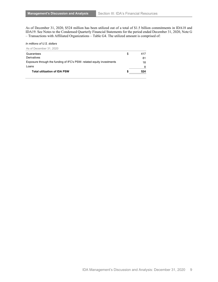As of December 31, 2020, \$524 million has been utilized out of a total of \$1.5 billion commitments in IDA18 and IDA19. See Notes to the Condensed Quarterly Financial Statements for the period ended December 31, 2020, Note G – Transactions with Affiliated Organizations – Table G4. The utilized amount is comprised of:

## *In millions of U.S. dollars*

| <b>Total utilization of IDA PSW</b>                                   |   | 524 |
|-----------------------------------------------------------------------|---|-----|
| Loans                                                                 |   | 8   |
| Exposure through the funding of IFC's PSW- related equity investments |   | 18  |
| Derivatives                                                           |   | 81  |
| Guarantees                                                            | S | 417 |
| As of December 31, 2020                                               |   |     |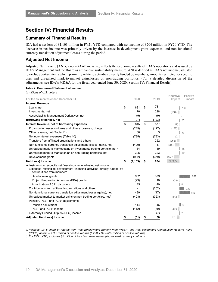## **Section IV: Financial Results**

## **Summary of Financial Results**

IDA had a net loss of \$1,103 million in FY21 YTD compared with net income of \$204 million in FY20 YTD. The decrease in net income was primarily driven by the increase in development grant expenses, and non-functional currency translation adjustment losses during the period.

## **Adjusted Net Income**

Adjusted Net Income (ANI), a non-GAAP measure, reflects the economic results of IDA's operations and is used by IDA's Management and the Board as a financial sustainability measure. ANI is defined as IDA's net income, adjusted to exclude certain items which primarily relate to activities directly funded by members, amounts restricted for specific uses and unrealized mark-to-market gains/losses on non-trading portfolios. (For a detailed discussion of the adjustments, see IDA's MD&A for the fiscal year ended June 30, 2020, Section IV: Financial Results).

## **Table 2: Condensed Statement of Income**

*In millions of U.S. dollars*

|                                                                                                                                                                              |    |          |           | Negative<br>Positive |
|------------------------------------------------------------------------------------------------------------------------------------------------------------------------------|----|----------|-----------|----------------------|
| For the six months ended December 31,                                                                                                                                        |    | 2020     | 2019      | Impact<br>Impact     |
| <b>Interest Revenue</b>                                                                                                                                                      |    |          |           |                      |
| Loans, net                                                                                                                                                                   | \$ | 881      | \$<br>781 | 100                  |
| Investments, net                                                                                                                                                             |    | 70       | 228       | (158)                |
| Asset/Liability Management Derivatives, net                                                                                                                                  |    | (9)      | (9)       |                      |
| Borrowing expenses, net                                                                                                                                                      |    | (97)     | (123)     | 26                   |
| Interest Revenue, net of borrowing expenses                                                                                                                                  | \$ | 845      | \$<br>877 | (32)                 |
| Provision for losses on loans and other exposures, charge                                                                                                                    |    | (249)    | (127)     | (122)                |
| Other revenue, net (Table 11)                                                                                                                                                |    | 38       | 5         | 33                   |
| Net non-interest expenses (Table 10)                                                                                                                                         |    | (785)    | (783)     | (2)                  |
| Transfers from affiliated organizations and others                                                                                                                           |    |          | 252       | (252)                |
| Non-functional currency translation adjustment (losses) gains, net                                                                                                           |    | (499)    | 17        | (516)                |
| Unrealized mark-to-market gains on investments-trading portfolio, net <sup>a</sup>                                                                                           |    | 84       | 19        | 65                   |
| Unrealized mark-to-market gains on non-trading portfolios, net                                                                                                               |    | 395      | 323       | 72                   |
| Development grants                                                                                                                                                           |    | (932)    | (379)     | (553)                |
| Net (Loss) Income                                                                                                                                                            | S  | (1, 103) | \$<br>204 | (1, 307)             |
| Adjustments to reconcile net (loss) income to adjusted net income:<br>Expenses relating to development financing activities directly funded by<br>contributions from members |    |          |           |                      |
| Development grants                                                                                                                                                           |    | 932      | 379       | 553                  |
| Project Preparation Advances (PPA) grants                                                                                                                                    |    | (23)     | 10        | (33)                 |
| Amortization of CPL discounts                                                                                                                                                |    | 45       | 40        | 5                    |
| Contributions from affiliated organizations and others                                                                                                                       |    |          | (252)     | 252                  |
| Non-functional currency translation adjustment losses (gains), net                                                                                                           |    | 499      | (17)      | 516                  |
| Unrealized market-to-market gains on non-trading portfolios, net b                                                                                                           |    | (403)    | (323)     | (80)                 |
| Pension, PEBP and PCRF adjustments                                                                                                                                           |    |          |           |                      |
| Pension adjustment                                                                                                                                                           |    | 114      | 46        | 68                   |
| PEBP and PCRF income                                                                                                                                                         |    | (112)    | (30)      | (82)                 |
| Externally Funded Outputs (EFO) income                                                                                                                                       |    |          | (7)       | 7                    |
| <b>Adjusted Net (Loss) Income</b>                                                                                                                                            | S  | (51)     | \$<br>50  | (101)                |

*a. Includes IDA's share of returns from Post-Employment Benefiy Plan (PEBP) and Post-Retirement Contribution Reserve Fund (PCRF) assets – \$112 million of positive returns (FY20 YTD – \$30 million of positive returns).*

*b. For FY21 YTD, excludes \$8 million of loss from revenue-hedging forward currency contracts.*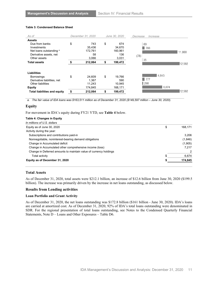#### **Table 3: Condensed Balance Sheet**

| As of                               | December 31, 2020 | June 30, 2020 | Decrease<br>Increase |
|-------------------------------------|-------------------|---------------|----------------------|
| <b>Assets</b>                       |                   |               |                      |
| Due from banks                      | \$<br>743         | \$<br>674     | 69                   |
| Investments                         | 35.436            | 34,670        | 766                  |
| Net loans outstanding a             | 172,761           | 160,961       | 11,800               |
| Derivative assets, net              | 58                | 136           | (78)                 |
| Other assets                        | 3.066             | 3,031         | 35                   |
| <b>Total assets</b>                 | 212.064           | \$<br>199,472 | 12.592               |
| <b>Liabilities</b>                  |                   |               |                      |
| <b>Borrowings</b>                   | \$<br>24,609      | \$<br>19,766  | 4.843                |
| Derivative liabilities, net         | 1.367             | 590           | 777                  |
| Other liabilities                   | 11,243            | 10,945        | 298                  |
| <b>Equity</b>                       | 174,845           | 168,171       | 6.674                |
| <b>Total liabilities and equity</b> | \$<br>212,064     | \$<br>199,472 | 12.592               |

*a. The fair value of IDA loans was \$163,511 million as of December 31, 2020 (\$149,597 million – June 30, 2020).* 

## **Equity**

For movement in IDA's equity during FY21 YTD, see **Table 4** below.

#### **Table 4: Changes in Equity** *In millions of U.S. dollars*

| In millions of U.S. dollars                                       |               |
|-------------------------------------------------------------------|---------------|
| Equity as of June 30, 2020                                        | \$<br>168.171 |
| Activity during the year:                                         |               |
| Subscriptions and contributions paid-in                           | 3.206         |
| Nonnegotiable, noninterest-bearing demand obligations             | (1,846)       |
| Change in Accumulated deficit                                     | (1,905)       |
| Change in Accumulated other comprehensive income (loss)           | 7,217         |
| Change in Deferred amounts to maintain value of currency holdings |               |
| Total activity                                                    | 6.674         |
| Equity as of December 31, 2020                                    | 174,845       |
|                                                                   |               |

## **Total Assets**

As of December 31, 2020, total assets were \$212.1 billion, an increase of \$12.6 billion from June 30, 2020 (\$199.5 billion). The increase was primarily driven by the increase in net loans outstanding, as discussed below.

## **Results from Lending activities**

## **Loan Portfolio and Grant Activity**

As of December 31, 2020, the net loans outstanding was \$172.8 billion (\$161 billion - June 30, 2020). IDA's loans are carried at amortized cost. As of December 31, 2020, 92% of IDA's total loans outstanding were denominated in SDR. For the regional presentation of total loans outstanding, see Notes to the Condensed Quarterly Financial Statements, Note D – Loans and Other Exposures – Table D6.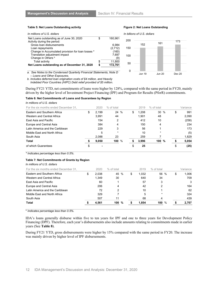#### **Table 5: Net Loans Outstanding activity**

#### **Figure 2: Net Loans Outstanding**

Jun 19 Jun 20 Dec 20

| In millions of U.S. dollars                                         | In billions of U.S. dollars |         |     |     |     |     |
|---------------------------------------------------------------------|-----------------------------|---------|-----|-----|-----|-----|
| Net Loans outstanding as of June 30, 2020                           | S                           | 160.961 | 200 |     |     |     |
| Activity during the period:                                         |                             |         |     |     | 161 | 173 |
| Gross Ioan disbursements                                            |                             | 6.984   |     | 152 |     |     |
| Loan repayments                                                     |                             | (2,712) | 150 |     |     |     |
| Change in Accumulated provision for loan losses a                   |                             | (160)   |     |     |     |     |
| Translation adjustment impact                                       |                             | 7.697   | 100 |     |     |     |
| Change in Others <sup>b</sup>                                       |                             | (9)     |     |     |     |     |
| Total activity                                                      |                             | 11,800  |     |     |     |     |
| Net Loans outstanding as of December 31, 2020                       |                             | 172,761 | 50  |     |     |     |
| o Coo Notos to the Candensed Quarterly Einensial Statements, Note D |                             |         | 0   |     |     |     |

*a. See Notes to the Condensed Quarterly Financial Statements, Note D – Loans and Other Exposures.* 

*b. Includes deferred loan origination costs of \$4 million, and Heavily* 

*Indebted Poor Countries (HIPC) Debt relief provided of \$5 million.* 

## During FY21 YTD, net commitments of loans were higher by 128%, compared with the same period in FY20, mainly driven by the higher level of Investment Project Financing (IPF) and Program-for Results (PforR) commitments.

## **Table 6: Net Commitments of Loans and Guarantees by Region**

| For the six months ended December 31, | 2020        | % of total |      | 2019        | % of total |   | Variance |
|---------------------------------------|-------------|------------|------|-------------|------------|---|----------|
| Eastern and Southern Africa           | \$<br>2,199 | 24         | $\%$ | \$<br>1,208 | 30 %       | S | 991      |
| Western and Central Africa            | 3.991       | 44         |      | 1.901       | 48         |   | 2,090    |
| East Asia and Pacific                 | 154         | 2          |      | 412         | 10         |   | (258)    |
| Europe and Central Asia               | 384         | 4          |      | 150         | 4          |   | 234      |
| Latin America and the Caribbean       | 229         | 3          |      | 56          |            |   | 173      |
| Middle East and North Africa          | 5           | $\star$    |      | 10          | $\star$    |   | (5)      |
| South Asia                            | 2.088       | 23         |      | 259         |            |   | 1,829    |
| Total                                 | 9,050       | 100        | $\%$ | 3.996       | $100 \%$   |   | 5,054    |
| of which Guarantees                   |             |            |      | 25          |            |   | (25)     |

*\* Indicates percentage less than 0.5%*.

#### **Table 7: Net Commitments of Grants by Region**

*In millions of U.S. dollars*

*In millions of U.S. dollars*

| For the six months ended December 31, |   | 2020  | $%$ of total |   |   | 2019  | % of total |   |   | Variance |
|---------------------------------------|---|-------|--------------|---|---|-------|------------|---|---|----------|
| Eastern and Southern Africa           | S | 2.038 | 45 %         |   | S | 1.032 | 56 %       |   | S | 1.006    |
| Western and Central Africa            |   | 1.349 | 30           |   |   | 640   | 34         |   |   | 709      |
| East Asia and Pacific                 |   | 60    |              |   |   | 57    | 3          |   |   | 3        |
| Europe and Central Asia               |   | 206   |              |   |   | 42    | 2          |   |   | 164      |
| Latin America and the Caribbean       |   | 72    | 2            |   |   | 10    |            |   |   | 62       |
| Middle East and North Africa          |   | 329   |              |   |   | 5     | $\star$    |   |   | 324      |
| South Asia                            |   | 507   | 11           |   |   | 68    | 4          |   |   | 439      |
| Total                                 |   | 4,561 | 100          | % |   | 1,854 | 100        | % |   | 2,707    |
|                                       |   |       |              |   |   |       |            |   |   |          |

\* *Indicates percentage less than 0.5%.* 

IDA's loans generally disburse within five to ten years for IPF and one to three years for Development Policy Financing (DPF). Therefore, each year's disbursements also include amounts relating to commitments made in earlier years (See **Table 8**).

During FY21 YTD, gross disbursements were higher by 15% compared with the same period in FY20. The increase was mainly driven by higher level of IPF disbursements.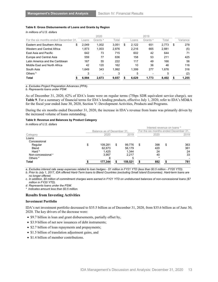#### **Table 8: Gross Disbursements of Loans and Grants by Region**

*In millions of U.S. dollars*

|                                       |             | 2020                     |       |   |       | 2019                |       |   |          |
|---------------------------------------|-------------|--------------------------|-------|---|-------|---------------------|-------|---|----------|
| For the six months ended December 31. | Loans       | Grants <sup>a</sup>      | Total |   | Loans | Grants <sup>a</sup> | Total |   | Variance |
| Eastern and Southern Africa           | 2.049<br>\$ | 1,002                    | 3,051 | S | 2.122 | 651                 | 2,773 | S | 278      |
| Western and Central Africa            | 1,873       | 1,003                    | 2,876 |   | 2,216 | 665                 | 2,881 |   | (5)      |
| East Asia and Pacific                 | 642         | 73                       | 715   |   | 602   | 42                  | 644   |   | 71       |
| Europe and Central Asia               | 559         | 77                       | 636   |   | 158   | 53                  | 211   |   | 425      |
| Latin America and the Caribbean       | 167         | 55                       | 222   |   | 117   | 49                  | 166   |   | 56       |
| Middle East and North Africa          | 42          | 120                      | 162   |   | 10    | 36                  | 46    |   | 116      |
| South Asia                            | 1.649       | 343                      | 1,992 |   | 1.399 | 277                 | 1,676 |   | 316      |
| Others <sup>b</sup>                   | 3           | $\overline{\phantom{0}}$ | 3     |   | 5     |                     | 5     |   | (2)      |
| Total                                 | 6,984       | 2,673                    | 9,657 |   | 6,629 | 1,773               | 8,402 |   | 1,255    |

*a. Excludes Project Preparation Advances (PPA).*

*b. Represents loans under PSW.*

As of December 31, 2020, 62% of IDA's loans were on regular terms (75bps SDR equivalent service charge), see **Table 9**. For a summary of financial terms for IDA's lending products, effective July 1, 2020, refer to IDA's MD&A for the fiscal year ended June 30, 2020, Section V: Development Activities, Products and Programs.

During the six months ended December 31, 2020, the increase in IDA's revenue from loans was primarily driven by the increased volume of loans outstanding.

#### **Table 9: Revenue and Balances by Product Category**

*In millions of U.S. dollars* 

|                     |              |                            |   |         |    |         | Interest revenue on loans a           |      |  |  |
|---------------------|--------------|----------------------------|---|---------|----|---------|---------------------------------------|------|--|--|
|                     |              | Balance as of December 31. |   |         |    |         | For the six months ended December 31, |      |  |  |
| Category            | 2019<br>2020 |                            |   |         |    | 2020    |                                       | 2019 |  |  |
| Loans               |              |                            |   |         |    |         |                                       |      |  |  |
| Concessional        |              |                            |   |         |    |         |                                       |      |  |  |
| Regular             | \$           | 109.281                    | S | 99.776  | \$ | 398     | \$                                    | 363  |  |  |
| <b>Blend</b>        |              | 62,673                     |   | 56,179  |    | 420     |                                       | 361  |  |  |
| Hard <sup>b</sup>   |              | 1.425                      |   | 1.344   |    | 24      |                                       | 24   |  |  |
| Non-concessional c  |              | 3.957                      |   | 2.217   |    | 40      |                                       | 33   |  |  |
| Others <sup>d</sup> |              | 8                          |   | 5       |    | $\star$ |                                       |      |  |  |
| Total               |              | 177,344                    |   | 159.521 |    | 882     |                                       | 781  |  |  |

*a. Excludes interest rate swap expenses related to loan hedges - \$1 million in FY21 YTD (less than \$0.5 million - FY20 YTD).*

*b. Prior to July 1, 2017, IDA offered Hard-Term loans to Blend Countries (excluding Small Island Economies). Hard-term loans are no longer offered.*

*c. In addition, \$9 million of commitment charges were earned in FY21 YTD on undisbursed balances of non-concessional loans (\$7 million in FY20 YTD).*

*d. Represents loans under the PSW.*

*\* Indicates amount less than \$0.5 million.*

#### **Results from Investing Activities**

#### **Investment Portfolio**

IDA's net investment portfolio decreased to \$35.5 billion as of December 31, 2020, from \$35.6 billion as of June 30, 2020. The key drivers of the decrease were:

- \$9.7 billion in loan and grant disbursements, partially offset by,
- \$3.9 billion of net new issuances of debt instruments;
- \$2.7 billion of loan repayments and prepayments;
- \$1.5 billion of translation adjustment gains, and
- \$1.4 billion of member contributions.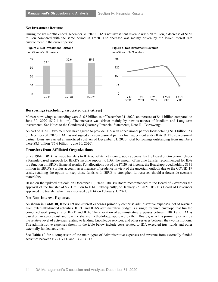### **Net Investment Revenue**

During the six months ended December 31, 2020, IDA's net investment revenue was \$70 million, a decrease of \$158 million compared with the same period in FY20. The decrease was mainly driven by the lower interest rate environment in the current period.



## **Borrowings (excluding associated derivatives)**

Market borrowings outstanding were \$16.5 billion as of December 31, 2020, an increase of \$4.4 billion compared to June 30, 2020 (\$12.1 billion). The increase was driven mainly by new issuances of Medium and Long-term instruments. See Notes to the Condensed Quarterly Financial Statements, Note E – Borrowings.

As part of IDA19, two members have agreed to provide IDA with concessional partner loans totaling \$1.1 billion. As of December 31, 2020, IDA has not signed any concessional partner loan agreement under IDA19. The concessional partner loans are carried at amortized cost. As of December 31, 2020, total borrowings outstanding from members were \$8.1 billion (\$7.6 billion - June 30, 2020).

## **Transfers from Affiliated Organizations**

Since 1964, IBRD has made transfers to IDA out of its net income, upon approval by the Board of Governors. Under a formula-based approach for IBRD's income support to IDA, the amount of income transfer recommended for IDA is a function of IBRD's financial results. For allocations out of the FY20 net income, the Board approved holding \$331 million in IBRD's Surplus account, as a measure of prudence in view of the uncertain outlook due to the COVID-19 crisis, retaining the option to keep those funds with IBRD to strengthen its reserves should a downside scenario materialize.

Based on the updated outlook, on December 10, 2020, IBRD's Board recommended to the Board of Governors the approval of the transfer of \$331 million to IDA. Subsequently, on January 25, 2021, IBRD's Board of Governors approved the transfer which was received by IDA on February 1, 2021.

## **Net Non-Interest Expenses**

As shown in **Table 10**, IDA's net non-interest expenses primarily comprise administrative expenses, net of revenue from externally-funded activities. IBRD and IDA's administrative budget is a single resource envelope that fun the combined work programs of IBRD and IDA. The allocation of administrative expenses between IBRD and IDA is based on an agreed cost and revenue sharing methodology, approved by their Boards, which is primarily driven by the relative level of activities relating to lending, knowledge services, and other services between the two institutions. The administrative expenses shown in the table below include costs related to IDA-executed trust funds and other externally funded activities.

See **Table 10** for a comparison of the main types of Administrative expenses and revenue from externally funded activities between FY21 YTD and FY20 YTD.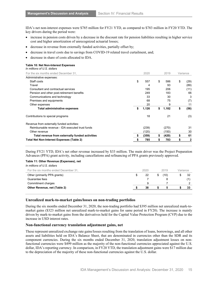IDA's net non-interest expenses were \$785 million for FY21 YTD, as compared to \$783 million in FY20 YTD. The key drivers during the period were:

- increase in pension costs driven by a decrease in the discount rate for pension liabilities resulting in higher service cost and higher amortization of unrecognized actuarial losses;
- decrease in revenue from externally funded activities, partially offset by;
- decrease in travel costs due to savings from COVID-19 related travel curtailment, and;
- decrease in share of costs allocated to IDA.

## **Table 10: Net Non-Interest Expenses**

|    | 2020  | 2019        | Variance   |
|----|-------|-------------|------------|
|    |       |             |            |
| \$ | 557   | \$<br>586   | \$<br>(29) |
|    | 4     | 93          | (89)       |
|    | 195   | 206         | (11)       |
|    | 249   | 183         | 66         |
|    | 33    | 30          | 3          |
|    | 68    | 75          | (7)        |
|    | 20    | 9           | 11         |
| \$ | 1,126 | \$<br>1,182 | \$<br>(56) |
|    | 18    | 21          | (3)        |
|    |       |             |            |
|    | (239) | (270)       | 31         |
|    | (120) | (150)       | 30         |
| S  | (359) | \$<br>(420) | \$<br>61   |
|    | 785   | \$<br>783   | \$<br>2    |
|    |       |             |            |

During FY21 YTD, IDA's net other revenue increased by \$33 million. The main driver was the Project Preparation Advances (PPA) grant activity, including cancellations and refinancing of PPA grants previously approved.

#### **Table 11: Other Revenue (Expenses), net**

*In millions of U.S. dollars*

| For the six months ended December 31, | 2020 | 2019 | Variance |
|---------------------------------------|------|------|----------|
| Other (primarily PPA grants)          | 22   | (10) | 32       |
| Guarantee fees                        |      |      |          |
| Commitment charges                    | ā    |      |          |
| Other Revenue, net (Table 2)          | 38   |      | 33       |
|                                       |      |      |          |

## **Unrealized mark-to-market gains/losses on non-trading portfolios**

During the six months ended December 31, 2020, the non-trading portfolio had \$395 million net unrealized mark-tomarket gains (\$323 million net unrealized mark-to-market gains for same period in FY20). The increase is mainly driven by mark-to-market gains from the derivatives held for the Capital Value Protection Program (CVP) due to the increase in USD interest rates.

## **Non-functional currency translation adjustment gains, net**

These represent unrealized exchange rate gains/losses resulting from the translation of loans, borrowings, and all other assets and liabilities held on IDA's Balance Sheet, that are denominated in currencies other than the SDR and its component currencies. During the six months ended December 31, 2020, translation adjustment losses on nonfunctional currencies were \$499 million as the majority of the non-functional currencies appreciated against the U.S. dollar, IDA's reporting currency. In comparison, in FY20 YTD, the translation adjustment gains were \$17 million due to the depreciation of the majority of these non-functional currencies against the U.S. dollar.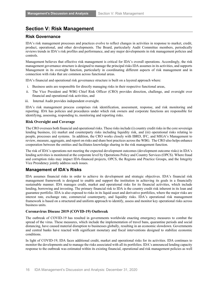## **Section V: Risk Management**

## **Risk Governance**

IDA's risk management processes and practices evolve to reflect changes in activities in response to market, credit, product, operational, and other developments. The Board, particularly Audit Committee members, periodically reviews trends in IDA's risk profiles and performance, and any major developments in risk management policies and controls.

Management believes that effective risk management is critical for IDA's overall operations. Accordingly, the risk management governance structure is designed to manage the principal risks IDA assumes in its activities, and supports Management in its oversight function, particularly in coordinating different aspects of risk management and in connection with risks that are common across functional areas.

IDA's financial and operational risk governance structure is built on a layered approach where:

- i. Business units are responsible for directly managing risks in their respective functional areas,
- ii. The Vice President and WBG Chief Risk Officer (CRO) provides direction, challenge, and oversight over financial and operational risk activities, and
- iii. Internal Audit provides independent oversight.

IDA's risk management process comprises risk identification, assessment, response, and risk monitoring and reporting. IDA has policies and procedures under which risk owners and corporate functions are responsible for identifying, assessing, responding to, monitoring and reporting risks.

## **Risk Oversight and Coverage**

The CRO oversees both financial and operational risks. These risks include (i) country credit risks in the core sovereign lending business, (ii) market and counterparty risks including liquidity risk, and (iii) operational risks relating to people, processes and systems. In addition, the CRO works closely with IBRD, IFC, and MIGA's Management to review, measure, aggregate, and report on risks and share best practices across the WBG. The CRO also helps enhance cooperation between the entities and facilitates knowledge sharing in the risk management function.

The risk of IDA's operations not meeting the expected development outcomes (development outcome risks) in IDA's lending activities is monitored at the corporate level by Operations Policy and Country Services (OPCS). Where fraud and corruption risks may impact IDA-financed projects, OPCS, the Regions and Practice Groups, and the Integrity Vice Presidency jointly address such issues.

## **Management of IDA's Risks**

IDA assumes financial risks in order to achieve its development and strategic objectives. IDA's financial risk management framework is designed to enable and support the institution in achieving its goals in a financially sustainable manner. IDA manages credit, market and operational risks for its financial activities, which include lending, borrowing and investing. The primary financial risk to IDA is the country credit risk inherent in its loan and guarantee portfolio. IDA is also exposed to risks in its liquid asset and derivative portfolios, where the major risks are interest rate, exchange rate, commercial counterparty, and liquidity risks. IDA's operational risk management framework is based on a structured and uniform approach to identify, assess and monitor key operational risks across business units.

## **Coronavirus Disease 2019 (COVID-19) Outbreak**

The outbreak of COVID-19 has resulted in governments worldwide enacting emergency measures to combat the spread of the virus. These measures, which include the implementation of travel bans, quarantine periods and social distancing, have caused material disruption to businesses globally, resulting in an economic slowdown. Governments and central banks have reacted with significant monetary and fiscal interventions designed to stabilize economic conditions.

In light of COVID-19, IDA faces additional credit, market and operational risks for its activities. IDA continues to monitor the developments and to manage the risks associated with all its portfolios. IDA's announced lending capacity response to the outbreak was estimated within its existing financial, operational and risk management policies as well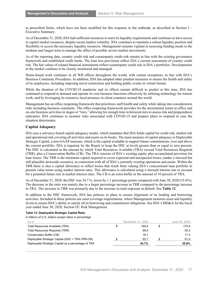as prescribed limits, which have not been modified for this response to the outbreak, as described in Section I – Executive Summary.

As of December 31, 2020, IDA had sufficient resources to meet its liquidity requirements and continues to have access to capital market resources, despite recent market volatility. IDA continues to maintain a robust liquidity position and flexibility to access the necessary liquidity resources. Management remains vigilant in assessing funding needs in the medium and longer-term to manage the effect of possible severe market movements.

As of the reporting date, country credit risk and counterparty credit risk remain in line with the existing governance framework and established credit limits. The loan loss provisions reflect IDA's current assessment of country credit risk. The fair values of related financial instruments reflect counterparty credit risk in IDA's portfolios. Developments in the market continue to be closely monitored and managed.

Home-based work continues in all WB offices throughout the world, with certain exceptions, in line with IDA's Business Continuity Procedures. In addition, IDA has adopted other prudent measures to ensure the health and safety of its employees, including imposing travel restrictions and holding public events in virtual format.

While the duration of the COVID-19 pandemic and its effects remain difficult to predict at this time, IDA has continued to respond to demand and operate its core business functions effectively by utilizing technology for remote work, and by leveraging its extensive local presence in client countries around the world.

Management has an office reopening framework that prioritizes staff health and safety while taking into consideration risks including business continuity. The office reopening framework provides for the incremental return to office and on-site business activities in stages or "tiers," allowing for enough time in between tiers to assess risk and preparedness indicators. IDA continues to monitor risks associated with COVID-19 and prepare plans to respond in case the situation deteriorates.

## **Capital Adequacy**

IDA uses a solvency-based capital adequacy model, which mandates that IDA holds capital for credit risk, market risk and operational risk covering all activities and assets on its books. The main measure of capital adequacy is Deployable Strategic Capital, a non-GAAP measure, which is the capital available to support future commitments, over and above the current portfolio. IDA is required, by the Board, to keep the DSC at levels greater than or equal to zero percent. The DSC is calculated as the amount by which Total Resources Available (TRA) exceed Total Resources Required (TRR), plus a Conservation Buffer (CB). The TRA consists of IDA's existing equity plus accumulated provision for loan losses. The TRR is the minimum capital required to cover expected and unexpected losses, (under a stressed but still plausible downside scenario), in connection with all of IDA's currently existing operations and assets. Within the TRR there is also a capital allowance to reflect losses that result from valuing IDA's concessional loan portfolio in present value terms using market interest rates. This allowance is calculated using a stressed interest rate to account for a potential future rise in market interest rates. The CB is an extra buffer in the amount of 10 percent of TRA.

As of December 31, 2020, the DSC was 34.7 %, lower by 1.1 percentage points compared with June 30, 2020 (35.8%). The decrease in the ratio was mainly due to a larger percentage increase in TRR compared to the percentage increase in TRA. The increase in TRR was primarily due to the increase in total exposure at default. See **Table 12**.

In addition to the DSC framework, IDA has policies in place to ensure alignment of its lending and borrowing activities. Included in these policies are asset coverage requirements, where Management monitors asset and liquidity levels to ensure IDA's ability to satisfy all its borrowing and commitment obligations. See IDA's MD&A for the fiscal year ended June 30, 2020, Section IX: Risk Management.

#### **Table 12: Deployable Strategic Capital Ratio**

*in billions of U.S. dollars except ratios in percentage*

| As of                                               | December 31, 2020 | June 30, 2020 |
|-----------------------------------------------------|-------------------|---------------|
| Total Resources Available (TRA)                     | 180.6             | 172.6         |
| Total Resources Required (TRR)                      | 99.8              | 93.5          |
| Conservation Buffer (CB)                            | 18.1              | 17.3          |
| Deployable Strategic Capital (DSC = TRA-TRR-CB)     | 62.7              | 61.8          |
| Deployable Strategic Capital as a percentage of TRA | 34.7%             | 35.8%         |
|                                                     |                   |               |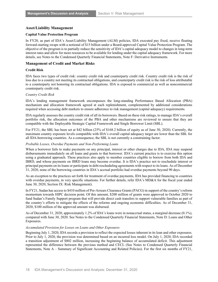## **Asset/Liability Management**

### **Capital Value Protection Program**

In FY20, as part of IDA's Asset/Liability Management (ALM) policies, IDA executed pay fixed, receive floating forward-starting swaps with a notional of \$15 billion under a Board-approved Capital Value Protection Program. The objective of the program is to partially reduce the sensitivity of IDA's capital adequacy model to changes in long-term interest rates and allow for more resources to be available for lending under the capital adequacy framework. For more details, see Notes to the Condensed Quarterly Financial Statements, Note F: Derivative Instruments.

## **Management of Credit and Market Risks**

### **Credit Risk**

IDA faces two types of credit risk: country credit risk and counterparty credit risk. Country credit risk is the risk of loss due to a country not meeting its contractual obligations, and counterparty credit risk is the risk of loss attributable to a counterparty not honoring its contractual obligations. IDA is exposed to commercial as well as noncommercial counterparty credit risk.

#### *Country Credit Risk*

IDA's lending management framework encompasses the long-standing Performance Based Allocation (PBA) mechanism and allocation framework agreed at each replenishment, complemented by additional considerations required when accessing debt markets to ensure adherence to risk management (capital adequacy) requirements.

IDA regularly assesses the country credit risk of all its borrowers. Based on these risk ratings, to manage IDA's overall portfolio risk, the allocation outcomes of the PBA and other mechanisms are reviewed to ensure that they are compatible with the Deployable Strategic Capital Framework and Single Borrower Limit (SBL).

For FY21, the SBL has been set at \$42 billion (25% of \$168.2 billion of equity as of June 30, 2020). Currently, the maximum country exposure levels compatible with IDA's overall capital adequacy target are lower than the SBL for all IDA-borrowing countries. As a consequence, the SBL is not currently a constraining factor.

## *Probable Losses, Overdue Payments and Non-Performing Loans*

When a borrower fails to make payments on any principal, interest or other charges due to IDA, IDA may suspend disbursements immediately on all loans and grants to that borrower. IDA's current practice is to exercise this option using a graduated approach. These practices also apply to member countries eligible to borrow from both IDA and IBRD, and whose payments on IBRD loans may become overdue. It is IDA's practice not to reschedule interest or principal payments on its loans or participate in debt rescheduling agreements with respect to its loans. As of December 31, 2020, none of the borrowing countries in IDA's accrual portfolio had overdue payments beyond 90 days.

As an exception to the practices set forth for treatment of overdue payments, IDA has provided financing to countries with overdue payments, in very specific situations. For further details, refer IDA's MD&A for the fiscal year ended June 30, 2020, Section IX: Risk Management).

In FY21, Sudan has access to \$410 million of Pre-Arrears Clearance Grants (PACG) in support of the country's reform momentum towards HIPC decision point. Of this amount, \$200 million of grants were approved in October 2020 to fund Sudan's Family Support program that will provide direct cash transfers to support vulnerable families as part of the country's efforts to mitigate the effects of the reforms and ongoing economic difficulties. As of December 31, 2020, \$100 million of the approved amount was disbursed.

As of December 31, 2020, approximately 1.2% of IDA's loans were in nonaccrual status, a marginal decrease (0.1%), compared with June 30, 2020. See Notes to the Condensed Quarterly Financial Statements, Note D: Loans and Other Exposures.

## *Accumulated Provision for Losses on Loans and Other Exposures*

Beginning July 1, 2020, IDA records a provision to reflect the expected losses inherent in its loan and other exposures. Prior to July 1, 2020, the provision was determined based on an incurred loss model. On July 1, 2020, IDA recorded a transition adjustment of \$802 million, increasing the beginning balance of accumulated deficit. This adjustment represented the difference between the previous method and CECL (See Notes to Condensed Quarterly Financial Statements, Note A – Summary of Significant Accounting and Related Policies). For the first six months of FY21,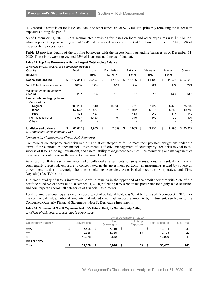IDA recorded a provision for losses on loans and other exposures of \$249 million, primarily reflecting the increase in exposures during the period.

As of December 31, 2020, IDA's accumulated provision for losses on loans and other exposures was \$5.7 billion, which represents a provisioning rate of \$2.4% of the underlying exposures, (\$4.5 billion as of June 30, 2020, 2.7% of the underlying exposures).

**Table 13** provides details of the top five borrowers with the largest loan outstanding balances as of December 31, 2020. These borrowers represented 45% of loans outstanding as of that date.

**Table 13: Top Five Borrowers with the Largest Outstanding Balance** 

*In millions of U.S. dollars, or as otherwise indicated*

| Country                                     | Total            | India                    | Bangladesh      | Pakistan       | Vietnam      | Nigeria      | Others       |
|---------------------------------------------|------------------|--------------------------|-----------------|----------------|--------------|--------------|--------------|
| Eligibility                                 |                  | <b>IBRD</b>              | <b>IDA-only</b> | <b>Blend</b>   | <b>IBRD</b>  | <b>Blend</b> |              |
| Loans outstanding                           | \$<br>177,344 \$ | 22,157                   | \$<br>17,572    | \$<br>15.436   | \$<br>14,128 | \$<br>11,005 | 97,046<br>\$ |
| % of Total Loans outstanding                | 100%             | 12%                      | 10%             | 9%             | 8%           | 6%           | 55%          |
| <b>Weighted Average Maturity</b><br>(Years) | 11.7             | 5.4                      | 13.3            | 10.7           | 7.1          | 13.4         | 13.5         |
| Loans outstanding by terms                  |                  |                          |                 |                |              |              |              |
| Concessional                                |                  |                          |                 |                |              |              |              |
| Regular                                     | 109,281          | 3,840                    | 16,588          | 751            | 7,422        | 5,478        | 75,202       |
| <b>Blend</b>                                | 62,673           | 16,437                   | 923             | 13,912         | 6,275        | 5,340        | 19,786       |
| Hard                                        | 1,425            | 427                      |                 | 463            | 269          | 117          | 149          |
| Non-concessional                            | 3,957            | 1,453                    | 61              | 310            | 162          | 70           | 1,901        |
| Others <sup>a</sup>                         | 8                | $\overline{\phantom{0}}$ |                 | $\overline{a}$ |              |              | 8            |
| <b>Undisbursed balance</b>                  | \$<br>66.645\$   | 1,965                    | \$<br>7,399     | \$<br>4,933    | \$<br>3,731  | \$<br>8.295  | \$40,322     |

*a. Represents loans under the PSW.*

#### *Commercial Counterparty Credit Risk Exposure*

Commercial counterparty credit risk is the risk that counterparties fail to meet their payment obligations under the terms of the contract or other financial instruments. Effective management of counterparty credit risk is vital to the success of IDA's funding, investment, and asset/ liability management activities. The monitoring and management of these risks is continuous as the market environment evolves.

As a result of IDA's use of mark-to-market collateral arrangements for swap transactions, its residual commercial counterparty credit risk exposure is concentrated in the investment portfolio, in instruments issued by sovereign governments and non-sovereign holdings (including Agencies, Asset-backed securities, Corporates, and Time Deposits) (See **Table 14)**.

The credit quality of IDA's investment portfolio remains in the upper end of the credit spectrum with 52% of the portfolio rated AA or above as of December 31, 2020, reflecting IDA's continued preference for highly-rated securities and counterparties across all categories of financial instruments.

Total commercial counterparty credit exposure, net of collateral held, was \$35.4 billion as of December 31, 2020. For the contractual value, notional amounts and related credit risk exposure amounts by instrument, see Notes to the Condensed Quarterly Financial Statements, Note F: Derivative Instruments.

## **Table 14: Commercial Credit Exposure, Net of Collateral Held, by Counterparty Rating**

*In millions of U.S. dollars, except rates in percentages*

|                                  |                          |    |                          |    | As of December 31, 2020 |                       |            |
|----------------------------------|--------------------------|----|--------------------------|----|-------------------------|-----------------------|------------|
| Counterparty Rating <sup>a</sup> | Sovereigns               |    | Non-<br>Sovereigns       |    | Net Swap<br>Exposure    | <b>Total Exposure</b> | % of Total |
| AAA                              | \$<br>5,595              | \$ | 5,119                    | \$ | $\blacksquare$          | \$<br>10.714          | 30         |
| AA                               | 2,385                    |    | 5,335                    |    | 53                      | 7,773                 | 22         |
| A                                | 13,378                   |    | 3,542                    |    |                         | 16.920                | 48         |
| <b>BBB</b> or below              | $\overline{\phantom{0}}$ |    | $\overline{\phantom{a}}$ |    |                         |                       |            |
| Total                            | 21,358                   | £. | 13.996                   | S  | 53                      | 35.407                | 100        |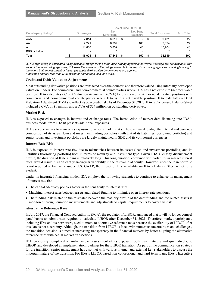|                                  |   |                          |                    | As of June 30, 2020  |                       |            |
|----------------------------------|---|--------------------------|--------------------|----------------------|-----------------------|------------|
| Counterparty Rating <sup>a</sup> |   | Sovereigns               | Non-<br>Sovereigns | Net Swap<br>Exposure | <b>Total Exposure</b> | % of Total |
| AAA                              | S | 2,814                    | \$<br>6,617        | \$<br>$\sim$         | \$<br>9,431           | 27         |
| AA                               |   | 2,221                    | 6,997              | 106                  | 9.324                 | 27         |
| A                                |   | 11,886                   | 3,832              | 46                   | 15.764                | 46         |
| <b>BBB</b> or below              |   | $\overline{\phantom{0}}$ | $\star$            | -                    | $\star$               | $\star$    |
| Total                            |   | 16.921                   | 17.446             | 152                  | 34.519                | 100        |

 *a. Average rating is calculated using available ratings for the three major rating agencies; however, if ratings are not available from each of the three rating agencies, IDA uses the average of the ratings available from any of such rating agencies or a single rating to the extent that an instrument or issuer (as applicable) is rated by only one rating agency.* 

*\* Indicates amount less than \$0.5 million or percentage less than 0.5%.* 

#### **Credit and Debit Valuation Adjustments**

Most outstanding derivative positions are transacted over-the-counter, and therefore valued using internally developed valuation models. For commercial and non-commercial counterparties where IDA has a net exposure (net receivable position), IDA calculates a Credit Valuation Adjustment (CVA) to reflect credit risk. For net derivative positions with commercial and non-commercial counterparties where IDA is in a net payable position, IDA calculates a Debit Valuation Adjustment (DVA) to reflect its own credit risk. As of December 31, 2020, IDA's Condensed Balance Sheet included a CVA of \$1 million and a DVA of \$24 million on outstanding derivatives.

#### **Market Risk**

IDA is exposed to changes in interest and exchange rates. The introduction of market debt financing into IDA's business model from IDA18 presents additional exposures.

IDA uses derivatives to manage its exposure to various market risks. These are used to align the interest and currency composition of its assets (loan and investment trading portfolios) with that of its liabilities (borrowing portfolio) and equity. Loan and investment portfolios are largely maintained in SDR and its component currencies.

#### **Interest Rate Risk**

IDA is exposed to interest rate risk due to mismatches between its assets (loan and investment portfolios) and its liabilities (borrowing portfolio) both in terms of maturity and instrument type. Given IDA's lengthy disbursement profile, the duration of IDA's loans is relatively long. This long duration, combined with volatility in market interest rates, would result in significant year-on-year variability in the fair value of equity. However, since the loan portfolio is not reported at fair value under U.S. GAAP, the impact of this variability on IDA's Balance Sheet is not fully evident.

Under its integrated financing model, IDA employs the following strategies to continue to enhance its management of interest rate risk:

- The capital adequacy policies factor in the sensitivity to interest rates.
- Matching interest rates between assets and related funding to minimize open interest rate positions.
- The funding risk related to the mismatch between the maturity profile of the debt funding and the related assets is monitored through duration measurements and adjustments to capital requirements to cover this risk.

#### **Alternative Reference Rate**

In July 2017, the Financial Conduct Authority (FCA), the regulator of LIBOR, announced that it will no longer compel panel banks to submit rates required to calculate LIBOR after December 31, 2021. Therefore, market participants, including IDA and its borrowers, need to move to alternative reference rates because the availability of LIBOR after this date is not a certainty. Although, the transition from LIBOR is faced with numerous uncertainties and challenges, the transition decision is aimed at increasing transparency in the financial markets by better aligning the alternative reference rates with actual market transactions.

IDA previously completed an initial impact assessment of its exposure, both quantitatively and qualitatively, to LIBOR and developed an implementation roadmap for the LIBOR transition. As part of the communication strategy for the transition, senior management has also met with various internal and external key stakeholders to discuss the important nature of the transition. For IDA's LIBOR based non-concessional and hard-term loans, IDA's Executive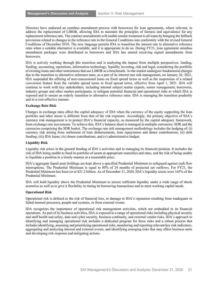Directors have endorsed an omnibus amendment process with borrowers for loan agreements, where relevant, to address the replacement of LIBOR, allowing IDA to maintain the principles of fairness and equivalence for any replacement reference rate. The contract amendments will enable similar treatment to all loans by bringing the fallback provisions related to changes in the reference rate in the General Conditions into conformity with the revised General Conditions of December 2018. The new language permits IDA to transition the interest rate to alternative reference rates when a suitable alternative is available, and it is appropriate to do so. During FY21, loan agreement omnibus amendment packages were distributed to borrowers and IDA has started receiving signed amendments from borrowers.

IDA is actively working through this transition and is analyzing the impact from multiple perspectives: lending, funding, accounting, operations, information technology, liquidity investing, risk and legal, considering the portfolio of existing loans and other instruments that use LIBOR as a benchmark. As the market undergoes fundamental changes due to the transition to alternative reference rates, as a part of its interest rate risk management, on January 26, 2021, IDA suspended the offering of non-concessional loans on fixed spread terms as well as the suspension of a related conversion feature from the variable spread terms to fixed spread terms, effective from April 1, 2021. IDA will continue to work with key stakeholders, including internal subject matter experts, senior management, borrowers, industry groups and other market participants, to mitigate potential financial and operational risks to which IDA is exposed and to ensure an orderly transition to alternative reference rates. IDA is managing the transition prudently and in a cost-effective manner.

## **Exchange Rate Risk**

Changes in exchange rates affect the capital adequacy of IDA when the currency of the equity supporting the loan portfolio and other assets is different from that of the risk exposure. Accordingly, the primary objective of IDA's currency risk management is to protect IDA's financial capacity, as measured by the capital adequacy framework, from exchange rate movements. To achieve this, IDA's balance sheet is managed in multiple currencies: SDR and the currencies comprising the SDR basket. The exchange rate risk management methodology includes the hedging of: (i) currency risk arising from settlement of loan disbursements, loan repayments and donor contributions; (ii) debt funding; (iii) IDA loans; (iv) donor contributions; and (v) administrative budget.

## **Liquidity Risk**

Liquidity risk arises in the general funding of IDA's activities and in managing its financial position. It includes the risk of IDA being unable to fund its portfolio of assets at appropriate maturities and rates, and the risk of being unable to liquidate a position in a timely manner at a reasonable price.

IDA's aggregate liquid asset holdings are kept above a specified Prudential Minimum to safeguard against cash flow interruptions. The Prudential Minimum is equal to 80% of 24 months of projected net outflows. For FY21, the Prudential Minimum has been set at \$21.2 billion. As of December 31, 2020, IDA's liquidity assets were 165% of the Prudential Minimum.

IDA will hold liquidity above the Prudential Minimum to ensure sufficient liquidity under a wide range of shock scenarios as well as to give it flexibility in timing its borrowing transactions and to meet working capital needs.

#### **Operational Risk**

Operational risk is defined as the risk of financial loss, or damage to IDA's reputation resulting from inadequate or failed internal processes, people and systems, or from external events.

IDA recognizes the importance of operational risk management activities, which are embedded in its financial operations. As part of its business activities, IDA is exposed to a range of operational risks including physical security and staff health and safety, data and cyber security, business continuity, and external vendor risks. IDA's approach to identifying and managing operational risk includes a dedicated program for these risks and a robust process that includes identifying, assessing and prioritizing operational risks, monitoring and reporting relevant key risk indicators, aggregating and analyzing internal and external events, and identifying emerging risks that may affect business units and developing risk response and mitigating actions.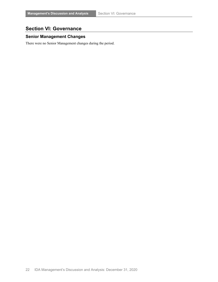## **Section VI: Governance**

## **Senior Management Changes**

There were no Senior Management changes during the period.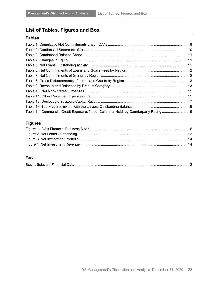## **List of Tables, Figures and Box**

## **Tables**

| Table 14: Commercial Credit Exposure, Net of Collateral Held, by Counterparty Rating  19 |  |
|------------------------------------------------------------------------------------------|--|

## **Figures**

## **Box**

|--|--|--|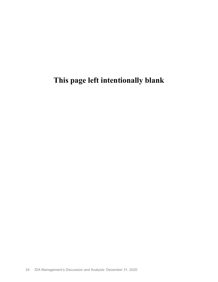**This page left intentionally blank**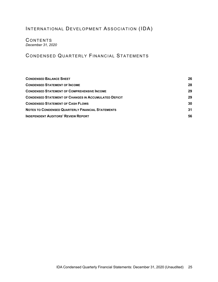## INTERNATIONAL DEVELOPMENT ASSOCIATION (IDA)

CONTENTS *December 31, 2020* 

## CONDENSED QUARTERLY FINANCIAL STATEMENTS

| <b>CONDENSED BALANCE SHEET</b>                               | 26 |
|--------------------------------------------------------------|----|
| <b>CONDENSED STATEMENT OF INCOME</b>                         | 28 |
| <b>CONDENSED STATEMENT OF COMPREHENSIVE INCOME</b>           | 29 |
| <b>CONDENSED STATEMENT OF CHANGES IN ACCUMULATED DEFICIT</b> | 29 |
| <b>CONDENSED STATEMENT OF CASH FLOWS</b>                     | 30 |
| <b>NOTES TO CONDENSED QUARTERLY FINANCIAL STATEMENTS</b>     | 31 |
| <b>INDEPENDENT AUDITORS' REVIEW REPORT</b>                   | 56 |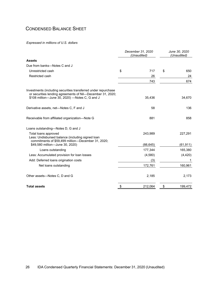## CONDENSED BALANCE SHEET

## *Expressed in millions of U.S. dollars*

|                                                                                                                                | December 31, 2020<br>(Unaudited) | June 30, 2020<br>(Unaudited) |           |  |
|--------------------------------------------------------------------------------------------------------------------------------|----------------------------------|------------------------------|-----------|--|
| <b>Assets</b>                                                                                                                  |                                  |                              |           |  |
| Due from banks-Notes C and J                                                                                                   |                                  |                              |           |  |
| Unrestricted cash                                                                                                              | \$<br>717                        | \$                           | 650       |  |
| Restricted cash                                                                                                                | 26                               |                              | 24        |  |
|                                                                                                                                | 743                              |                              | 674       |  |
| Investments (including securities transferred under repurchase<br>or securities lending agreements of Nil-December 31, 2020;   |                                  |                              |           |  |
| \$108 million-June 30, 2020) - Notes C, G and J                                                                                | 35,436                           |                              | 34,670    |  |
| Derivative assets, net-Notes C, F and J                                                                                        | 58                               |                              | 136       |  |
| Receivable from affiliated organization-Note G                                                                                 | 881                              |                              | 858       |  |
| Loans outstanding-Notes D, G and J                                                                                             |                                  |                              |           |  |
| Total loans approved<br>Less: Undisbursed balance (including signed loan<br>commitments of \$59,499 million-December 31, 2020; | 243,989                          |                              | 227,291   |  |
| \$49,580 million-June 30, 2020)                                                                                                | (66, 645)                        |                              | (61, 911) |  |
| Loans outstanding                                                                                                              | 177,344                          |                              | 165,380   |  |
| Less: Accumulated provision for loan losses                                                                                    | (4,580)                          |                              | (4, 420)  |  |
| Add: Deferred loans origination costs                                                                                          | (3)                              |                              | 1         |  |
| Net loans outstanding                                                                                                          | 172,761                          |                              | 160,961   |  |
| Other assets-Notes C, D and G                                                                                                  | 2,185                            |                              | 2,173     |  |
| <b>Total assets</b>                                                                                                            | \$<br>212,064                    | \$                           | 199,472   |  |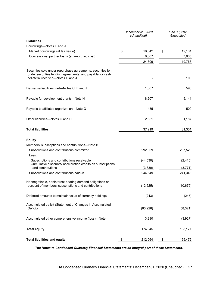|                                                                                                                                                                | December 31, 2020<br>(Unaudited) | June 30, 2020<br>(Unaudited) |
|----------------------------------------------------------------------------------------------------------------------------------------------------------------|----------------------------------|------------------------------|
| <b>Liabilities</b>                                                                                                                                             |                                  |                              |
| Borrowings-Notes E and J                                                                                                                                       |                                  |                              |
| Market borrowings (at fair value)                                                                                                                              | \$<br>16,542                     | \$<br>12,131                 |
| Concessional partner loans (at amortized cost)                                                                                                                 | 8,067                            | 7,635                        |
|                                                                                                                                                                | 24,609                           | 19,766                       |
| Securities sold under repurchase agreements, securities lent<br>under securities lending agreements, and payable for cash<br>collateral received-Notes C and J |                                  | 108                          |
| Derivative liabilities, net-Notes C, F and J                                                                                                                   | 1,367                            | 590                          |
| Payable for development grants-Note H                                                                                                                          | 8,207                            | 9,141                        |
| Payable to affiliated organization-Note G                                                                                                                      | 485                              | 509                          |
| Other liabilities-Notes C and D                                                                                                                                | 2,551                            | 1,187                        |
| <b>Total liabilities</b>                                                                                                                                       | 37,219                           | 31,301                       |
| <b>Equity</b>                                                                                                                                                  |                                  |                              |
| Members' subscriptions and contributions-Note B                                                                                                                |                                  |                              |
| Subscriptions and contributions committed                                                                                                                      | 292,909                          | 267,529                      |
| Less:                                                                                                                                                          |                                  |                              |
| Subscriptions and contributions receivable<br>Cumulative discounts/ acceleration credits on subscriptions<br>and contributions                                 | (44, 530)                        | (22, 415)                    |
|                                                                                                                                                                | (3,830)                          | (3, 771)                     |
| Subscriptions and contributions paid-in                                                                                                                        | 244,549                          | 241,343                      |
| Nonnegotiable, noninterest-bearing demand obligations on<br>account of members' subscriptions and contributions                                                | (12, 525)                        | (10, 679)                    |
| Deferred amounts to maintain value of currency holdings                                                                                                        | (243)                            | (245)                        |
| Accumulated deficit (Statement of Changes in Accumulated<br>Deficit)                                                                                           | (60, 226)                        | (58, 321)                    |
| Accumulated other comprehensive income (loss)-Note I                                                                                                           | 3,290                            | (3,927)                      |
| <b>Total equity</b>                                                                                                                                            | 174,845                          | 168,171                      |
| <b>Total liabilities and equity</b>                                                                                                                            | 212,064<br>\$                    | 199,472                      |
|                                                                                                                                                                |                                  | \$                           |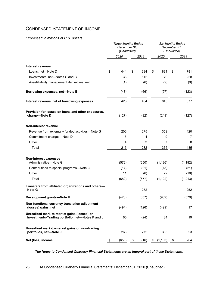## CONDENSED STATEMENT OF INCOME

## *Expressed in millions of U.S. dollars*

|                                                                                                 | <b>Three Months Ended</b><br>December 31,<br>(Unaudited) |                  |       |                | <b>Six Months Ended</b><br>December 31,<br>(Unaudited) |          |  |
|-------------------------------------------------------------------------------------------------|----------------------------------------------------------|------------------|-------|----------------|--------------------------------------------------------|----------|--|
|                                                                                                 | 2020                                                     |                  | 2019  | 2020           |                                                        | 2019     |  |
| Interest revenue                                                                                |                                                          |                  |       |                |                                                        |          |  |
| Loans, net-Note D                                                                               | \$<br>444                                                | \$               | 394   | \$<br>881      | \$                                                     | 781      |  |
| Investments, net-Notes C and G                                                                  | 33                                                       |                  | 112   | 70             |                                                        | 228      |  |
| Asset/liability management derivatives, net                                                     | (4)                                                      |                  | (6)   | (9)            |                                                        | (9)      |  |
| Borrowing expenses, net-Note E                                                                  | (48)                                                     |                  | (66)  | (97)           |                                                        | (123)    |  |
| Interest revenue, net of borrowing expenses                                                     | 425                                                      |                  | 434   | 845            |                                                        | 877      |  |
| Provision for losses on loans and other exposures,<br>charge-Note D                             | (127)                                                    |                  | (92)  | (249)          |                                                        | (127)    |  |
| Non-interest revenue                                                                            |                                                          |                  |       |                |                                                        |          |  |
| Revenue from externally funded activities-Note G                                                | 206                                                      |                  | 275   | 359            |                                                        | 420      |  |
| Commitment charges-Note D                                                                       | 5                                                        |                  | 4     | 9              |                                                        | 7        |  |
| Other                                                                                           | 4                                                        |                  | 3     | 7              |                                                        | 8        |  |
| Total                                                                                           | 215                                                      |                  | 282   | 375            |                                                        | 435      |  |
| <b>Non-interest expenses</b>                                                                    |                                                          |                  |       |                |                                                        |          |  |
| Administrative-Note G                                                                           | (576)                                                    |                  | (650) | (1, 126)       |                                                        | (1, 182) |  |
| Contributions to special programs-Note G                                                        | (17)                                                     |                  | (21)  | (18)           |                                                        | (21)     |  |
| Other                                                                                           | 11                                                       |                  | (6)   | 22             |                                                        | (10)     |  |
| Total                                                                                           | (582)                                                    |                  | (677) | (1, 122)       |                                                        | (1, 213) |  |
| Transfers from affiliated organizations and others-<br>Note G                                   |                                                          |                  | 252   |                |                                                        | 252      |  |
| Development grants-Note H                                                                       | (423)                                                    |                  | (337) | (932)          |                                                        | (379)    |  |
| Non-functional currency translation adjustment<br>(losses) gains, net                           | (494)                                                    |                  | (126) | (499)          |                                                        | 17       |  |
| Unrealized mark-to-market gains (losses) on<br>Investments-Trading portfolio, net-Notes F and J | 65                                                       |                  | (24)  | 84             |                                                        | 19       |  |
| Unrealized mark-to-market gains on non-trading<br>portfolios, net-Note J                        | 266                                                      |                  | 272   | 395            |                                                        | 323      |  |
| Net (loss) income                                                                               | \$<br>(655)                                              | $$\mathfrak{F}$$ | (16)  | \$<br>(1, 103) | \$                                                     | 204      |  |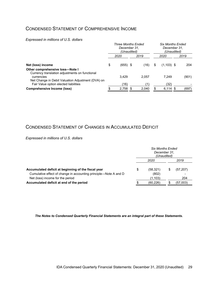## CONDENSED STATEMENT OF COMPREHENSIVE INCOME

## *Expressed in millions of U.S. dollars*

|                                                                                   | <b>Three Months Ended</b><br>December 31.<br>(Unaudited) |            |  |       |    | <b>Six Months Ended</b><br>December 31.<br>(Unaudited) |  |       |  |
|-----------------------------------------------------------------------------------|----------------------------------------------------------|------------|--|-------|----|--------------------------------------------------------|--|-------|--|
| Net (loss) income                                                                 |                                                          | 2020       |  | 2019  |    | 2020                                                   |  | 2019  |  |
|                                                                                   |                                                          | $(655)$ \$ |  | (16)  | \$ | $(1,103)$ \$                                           |  | 204   |  |
| Other comprehensive loss-Note I<br>Currency translation adjustments on functional |                                                          |            |  |       |    |                                                        |  |       |  |
| currencies<br>Net Change in Debit Valuation Adjustment (DVA) on                   |                                                          | 3.429      |  | 2.057 |    | 7.249                                                  |  | (901) |  |
| Fair Value option elected liabilities                                             |                                                          | (16)       |  |       |    | (32)                                                   |  |       |  |
| <b>Comprehensive Income (loss)</b>                                                |                                                          | 2,758 \$   |  | 2,040 | \$ | $6,114$ \$                                             |  | (697) |  |

## CONDENSED STATEMENT OF CHANGES IN ACCUMULATED DEFICIT

*Expressed in millions of U.S. dollars*

|                                                                  | <b>Six Months Ended</b><br>December 31.<br>(Unaudited) |   |           |
|------------------------------------------------------------------|--------------------------------------------------------|---|-----------|
|                                                                  | 2020                                                   |   | 2019      |
| Accumulated deficit at beginning of the fiscal year              | \$<br>(58, 321)                                        | S | (57, 207) |
| Cumulative effect of change in accounting principle-Note A and D | (802)                                                  |   |           |
| Net (loss) income for the period                                 | (1, 103)                                               |   | 204       |
| Accumulated deficit at end of the period                         | (60,226)                                               |   | (57,003)  |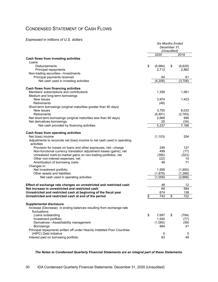## CONDENSED STATEMENT OF CASH FLOWS

## *Expressed in millions of U.S. dollars*

| 2020<br>2019<br>Cash flows from investing activities<br>Loans<br>\$<br>(6,984)<br>\$<br><b>Disbursements</b><br>(6,629)<br>Principal repayments<br>2,712 |         |
|----------------------------------------------------------------------------------------------------------------------------------------------------------|---------|
|                                                                                                                                                          |         |
|                                                                                                                                                          |         |
|                                                                                                                                                          |         |
|                                                                                                                                                          | 2,862   |
| Non-trading securities-Investments                                                                                                                       |         |
| Principal payments received<br>64                                                                                                                        | 61      |
| (4, 208)<br>(3,706)<br>Net cash used in investing activities                                                                                             |         |
| Cash flows from financing activities                                                                                                                     |         |
| Members' subscriptions and contributions<br>1,359                                                                                                        | 1,581   |
| Medium and long-term borrowings                                                                                                                          |         |
| New issues<br>3,974                                                                                                                                      | 1,423   |
| Retirements<br>(48)                                                                                                                                      |         |
| Short-term borrowings (original maturities greater than 90 days)                                                                                         |         |
| 3,750<br>New issues                                                                                                                                      | 6,033   |
| (6, 491)<br>(2,783)<br>Retirements                                                                                                                       |         |
| Net short-term borrowings (original maturities less than 90 days)<br>2,668                                                                               | 946     |
| Net derivatives-borrowings<br>25                                                                                                                         | (34)    |
| 5,237<br>Net cash provided by financing activities                                                                                                       | 7,166   |
| Cash flows from operating activities                                                                                                                     |         |
| (1, 103)<br>Net (loss) income                                                                                                                            | 204     |
| Adjustments to reconcile net (loss) income to net cash used in operating<br>activities                                                                   |         |
| Provision for losses on loans and other exposures, net-charge<br>249                                                                                     | 127     |
| 499<br>Non-functional currency translation adjustment losses (gains), net                                                                                | (17)    |
| Unrealized mark-to-market gains on non-trading portfolios, net<br>(395)                                                                                  | (323)   |
| Other non-interest expenses, net<br>(22)                                                                                                                 | 10      |
| Amortization of borrowing costs<br>48                                                                                                                    | 71      |
| Changes in:                                                                                                                                              |         |
| Net Investment portfolio<br>1,595<br>(1,692)                                                                                                             |         |
| Other assets and liabilities<br>(1,879)<br>(1,268)                                                                                                       |         |
| Net cash used in operating activities<br>(1,008)<br>(2,888)                                                                                              |         |
| 48<br>Effect of exchange rate changes on unrestricted and restricted cash                                                                                | 12      |
| Net increase in unrestricted and restricted cash<br>69                                                                                                   | 584     |
| 674<br>Unrestricted and restricted cash at beginning of the fiscal year                                                                                  | 138     |
| 743<br>\$<br>Unrestricted and restricted cash at end of the period<br>\$                                                                                 | 722     |
| <b>Supplemental disclosure</b>                                                                                                                           |         |
| Increase (Decrease) in ending balances resulting from exchange rate                                                                                      |         |
| fluctuations:                                                                                                                                            |         |
| \$<br>\$<br>Loans outstanding<br>7,697                                                                                                                   | (794)   |
| 1,540<br>Investment portfolio                                                                                                                            | (77)    |
|                                                                                                                                                          | (59)    |
| Derivatives-Asset/liability management<br>(1,065)                                                                                                        |         |
| <b>Borrowings</b><br>964                                                                                                                                 | 41      |
| Principal repayments written off under Heavily Indebted Poor Countries                                                                                   |         |
| (HIPC) Debt Initiative<br>5<br>Interest paid on borrowing portfolio<br>63                                                                                | 5<br>48 |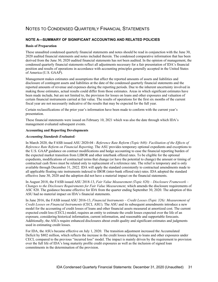## NOTES TO CONDENSED QUARTERLY FINANCIAL STATEMENTS

## **NOTE A—SUMMARY OF SIGNIFICANT ACCOUNTING AND RELATED POLICIES**

## **Basis of Preparation**

These unaudited condensed quarterly financial statements and notes should be read in conjunction with the June 30, 2020 audited financial statements and notes included therein. The condensed comparative information that has been derived from the June 30, 2020 audited financial statements has not been audited. In the opinion of management, the condensed quarterly financial statements reflect all adjustments necessary for a fair presentation of IDA's financial position and results of operations in accordance with accounting principles generally accepted in the United States of America (U.S. GAAP).

Management makes estimates and assumptions that affect the reported amounts of assets and liabilities and disclosure of contingent assets and liabilities at the date of the condensed quarterly financial statements and the reported amounts of revenue and expenses during the reporting periods. Due to the inherent uncertainty involved in making those estimates, actual results could differ from those estimates. Areas in which significant estimates have been made include, but are not limited to, the provision for losses on loans and other exposures and valuation of certain financial instruments carried at fair value. The results of operations for the first six months of the current fiscal year are not necessarily indicative of the results that may be expected for the full year.

Certain reclassifications of the prior year's information have been made to conform with the current year's presentation.

These financial statements were issued on February 10, 2021 which was also the date through which IDA's management evaluated subsequent events.

## **Accounting and Reporting Developments**

## *Accounting Standards Evaluated:*

In March 2020, the FASB issued ASU 2020-04 - *Reference Rate Reform (Topic 848): Facilitation of the Effects of Reference Rate Reform on Financial Reporting*. The ASU provides temporary optional expedients and exceptions to the U.S. GAAP guidance on contract modifications and hedge accounting to ease the financial reporting burden of the expected market transition from LIBOR and other interbank offered rates. To be eligible for the optional expedients, modifications of contractual terms that change (or have the potential to change) the amount or timing of contractual cash flows must be related only to replacement of a reference rate. The relief is temporary and is only available through December 31, 2022. IDA will apply the standard consistently to contractual amendments made to all applicable floating rate instruments indexed to IBOR (inter-bank offered rate) rates. IDA adopted the standard effective June 30, 2020 and the adoption did not have a material impact on the financial statements.

In August 2018, the FASB issued ASU 2018-13, *Fair Value Measurement (Topic 820) – Disclosure Framework – Changes to the Disclosure Requirements for Fair Value Measurement,* which amends the disclosure requirements of ASC 820. The guidance became effective for IDA from the quarter ending September 30, 2020. The adoption of this ASU had no material impact on IDA's financial statements.

In June 2016, the FASB issued ASU 2016-13, *Financial Instruments – Credit Losses (Topic 326): Measurement of Credit Losses on Financial Instruments* (CECL ASU). The ASU and its subsequent amendments introduce a new model for the accounting of credit losses of loans and other financial assets measured at amortized cost. The current expected credit loss (CECL) model, requires an entity to estimate the credit losses expected over the life of an exposure, considering historical information, current information, and reasonable and supportable forecasts. Additionally, the ASUs require enhanced disclosures about credit quality and significant estimates and judgments used in estimating credit losses.

For IDA, the ASUs became effective on July 1, 2020. The transition adjustment increased the Accumulated Deficit by \$802 million, which reflects the increase in the credit losses relating to loans and other exposures under CECL compared to the previous "incurred loss" model. The impact is mainly driven by the requirement to provision over the full life of IDA's long maturity profile credit exposures as well as the inclusion of signed loan commitments in the determination of the provision.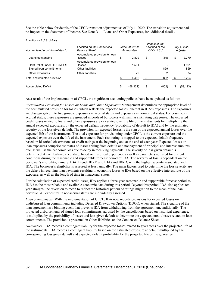See the table below for details of the CECL transition adjustment as of July 1, 2020. The transition adjustment had no impact on the Statement of Income. See Note  $D -$  Loans and Other Exposures, for additional details.

#### *In millions of U.S. dollars*

| Accumulated provision related to                       | Location on the Condensed<br><b>Balance Sheet</b>             | June 30, 2020<br>As reported | Impact of the<br>adoption of the<br><b>CECL ASU</b> | July 1, 2020<br>Adiusted |              |  |
|--------------------------------------------------------|---------------------------------------------------------------|------------------------------|-----------------------------------------------------|--------------------------|--------------|--|
| Loans outstanding                                      | Accumulated provision for loan<br>losses                      | \$<br>2.829                  | \$<br>(59)                                          | \$                       | 2,770        |  |
| Debt Relief under HIPC/MDRI<br>Signed loan commitments | Accumulated provision for loan<br>losses<br>Other liabilities | 1.591                        | 859                                                 |                          | 1.591<br>859 |  |
| Other exposures                                        | Other liabilities                                             | 72                           | າ                                                   |                          | 74           |  |
| Total accumulated provision                            |                                                               | 4,492                        | 802                                                 |                          | 5,294        |  |
| <b>Accumulated Deficit</b>                             |                                                               | \$<br>(58, 321)              | \$<br>(802)                                         | S                        | (59, 123)    |  |

As a result of the implementation of CECL, the significant accounting policies have been updated as follows.

*Accumulated Provision for Losses on Loans and Other Exposures:* Management determines the appropriate level of the accumulated provision for losses, which reflects the expected losses inherent in IDA's exposures. The exposures are disaggregated into two groups: exposures in accrual status and exposures in nonaccrual status. For countries in accrual status, these exposures are grouped in pools of borrowers with similar risk rating categories. The expected credit losses related to loans and other exposures are calculated over the life of the instruments by multiplying the annual expected exposures, by the expected default frequency (probability of default to IDA) and by the estimated severity of the loss given default. The provision for expected losses is the sum of the expected annual losses over the expected life of the instruments. The total exposure for provisioning under CECL is the current exposure and the expected exposure over the life of the instrument. Each risk rating is mapped to the expected default frequency based on historical observations of credit ratings at the beginning and at the end of each year. Expected losses on loan exposures comprise estimates of losses arising from default and nonpayment of principal and interest amounts due, as well as the economic loss due to delay in receiving payments. The severity of loss given default is determined at each balance sheet date, based on historical experience as well as parameters adjusted for current conditions during the reasonable and supportable forecast period of IDA. The severity of loss is dependent on the borrower's eligibility, namely: IDA, Blend (IBRD and IDA) and IBRD, with the highest severity associated with IDA. The borrower's eligibility is assessed at least annually. The main factors used to determine the loss severity are the delays in receiving loan payments resulting in economic losses to IDA based on the effective interest rate of the exposure, as well as the length of time in nonaccrual status.

For the calculation of expected credit losses, IDA applies a three-year reasonable and supportable forecast period as IDA has the most reliable and available economic data during this period. Beyond this period, IDA also applies tenyear straight-line reversion to mean to reflect the historical pattern of ratings migration to the mean of the loan portfolio. All exposures in nonaccrual status are individually assessed.

*Loan commitments:* With the implementation of CECL, IDA now records provisions for expected losses on undisbursed loan commitments including Deferred Drawdown Options (DDOs), when signed. The signature of the loan agreement is a binding event that prevents IDA from withdrawing from the agreement unconditionally. The projected disbursements of signed loan commitments, adjusted by the cancellations based on historical experience, is multiplied by the probability of losses and loss given default to determine the expected credit losses related to loan commitments. The provision is presented in Other liabilities on the Condensed Balance Sheet.

*Guarantees:* IDA records a contingent liability for the expected losses related to guarantees over the projected life of the instruments. IDA records a contingent liability based on the estimated exposure at default multiplied by the corresponding loss given default and expected default probability for the projected life of the guarantee.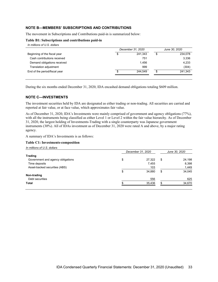## **NOTE B—MEMBERS' SUBSCRIPTIONS AND CONTRIBUTIONS**

The movement in Subscriptions and Contributions paid-in is summarized below:

#### **Table B1: Subscriptions and contributions paid-in**

*In millions of U.S. dollars* 

|                               | December 31, 2020 |   |         |  |  |
|-------------------------------|-------------------|---|---------|--|--|
| Beginning of the fiscal year  | 241.343           | Φ | 234,078 |  |  |
| Cash contributions received   | 751               |   | 3,336   |  |  |
| Demand obligations received   | 1.456             |   | 4,233   |  |  |
| Translation adjustment        | 999               |   | (304)   |  |  |
| End of the period/fiscal year | 244.549           |   | 241,343 |  |  |
|                               |                   |   |         |  |  |

During the six months ended December 31, 2020, IDA encashed demand obligations totaling \$609 million.

## **NOTE C—INVESTMENTS**

The investment securities held by IDA are designated as either trading or non-trading. All securities are carried and reported at fair value, or at face value, which approximates fair value.

As of December 31, 2020, IDA's Investments were mainly comprised of government and agency obligations (77%), with all the instruments being classified as either Level 1 or Level 2 within the fair value hierarchy. As of December 31, 2020, the largest holding of Investments-Trading with a single counterparty was Japanese government instruments (30%). All of IDAs investment as of December 31, 2020 were rated A and above, by a major rating agency.

A summary of IDA's Investments is as follows:

## **Table C1: Investments-composition**

|                                   | December 31, 2020 | June 30, 2020 |              |
|-----------------------------------|-------------------|---------------|--------------|
| <b>Trading</b>                    |                   |               |              |
| Government and agency obligations | \$                | 27,322        | \$<br>24,198 |
| Time deposits                     |                   | 7,455         | 8,398        |
| Asset-backed securities (ABS)     |                   | 103           | 1,449        |
|                                   | \$                | 34,880        | \$<br>34,045 |
| Non-trading                       |                   |               |              |
| Debt securities                   |                   | 556           | 625          |
| Total                             |                   | 35,436        | 34,670       |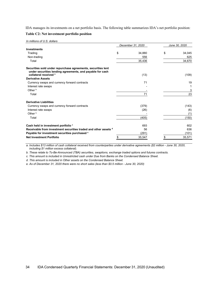IDA manages its investments on a net portfolio basis. The following table summarizes IDA's net portfolio position:

### **Table C2: Net investment portfolio position**

| In millions of U.S. dollars                                                                                                                                   |                   |               |        |  |  |  |
|---------------------------------------------------------------------------------------------------------------------------------------------------------------|-------------------|---------------|--------|--|--|--|
|                                                                                                                                                               | December 31, 2020 | June 30, 2020 |        |  |  |  |
| <b>Investments</b>                                                                                                                                            |                   |               |        |  |  |  |
| Trading                                                                                                                                                       | \$<br>34.880      | \$            | 34,045 |  |  |  |
| Non-trading                                                                                                                                                   | 556               |               | 625    |  |  |  |
| Total                                                                                                                                                         | 35,436            |               | 34.670 |  |  |  |
| Securities sold under repurchase agreements, securities lent<br>under securities lending agreements, and payable for cash<br>collateral received <sup>a</sup> | (13)              |               | (109)  |  |  |  |
| <b>Derivative Assets</b>                                                                                                                                      |                   |               |        |  |  |  |
| Currency swaps and currency forward contracts                                                                                                                 | 71                |               | 19     |  |  |  |
| Interest rate swaps                                                                                                                                           |                   |               |        |  |  |  |
| Other <sup>b</sup>                                                                                                                                            |                   |               | 3      |  |  |  |
| Total                                                                                                                                                         | 71                |               | 23     |  |  |  |
| <b>Derivative Liabilities</b>                                                                                                                                 |                   |               |        |  |  |  |
| Currency swaps and currency forward contracts                                                                                                                 | (379)             |               | (143)  |  |  |  |
| Interest rate swaps                                                                                                                                           | (26)              |               | (6)    |  |  |  |
| Other <sup>b</sup>                                                                                                                                            |                   |               | (1)    |  |  |  |
| Total                                                                                                                                                         | (405)             |               | (150)  |  |  |  |
| Cash held in investment portfolio c                                                                                                                           | 693               |               | 602    |  |  |  |
| Receivable from investment securities traded and other assets d                                                                                               | 56                |               | 636    |  |  |  |
| Payable for investment securities purchased <sup>e</sup>                                                                                                      | (291)             |               | (101)  |  |  |  |
| <b>Net Investment Portfolio</b>                                                                                                                               | \$<br>35,547      | \$            | 35,571 |  |  |  |
|                                                                                                                                                               |                   |               |        |  |  |  |

*a. Includes \$13 million of cash collateral received from counterparties under derivative agreements (\$2 million - June 30, 2020, including \$1 million excess collateral).* 

*b. These relate to To-Be-Announced (TBA) securities, swaptions, exchange traded options and futures contracts.* 

*c. This amount is included in Unrestricted cash under Due from Banks on the Condensed Balance Sheet.* 

*d. This amount is included in Other assets on the Condensed Balance Sheet. e. As of December 31, 2020 there were no short sales (less than \$0.5 million - June 30, 2020)*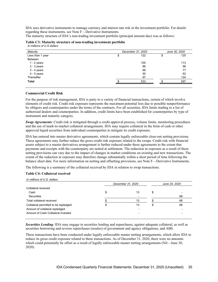IDA uses derivative instruments to manage currency and interest rate risk in the investment portfolio. For details regarding these instruments, see Note F—Derivative Instruments.

The maturity structure of IDA's non-trading investment portfolio (principal amount due) was as follows:

| Maturity         | December 31, 2020 |  |     |  |  |  |
|------------------|-------------------|--|-----|--|--|--|
| Less than 1 year | 122               |  | 125 |  |  |  |
| Between          |                   |  |     |  |  |  |
| $1 - 2$ years    | 105               |  | 113 |  |  |  |
| $2 - 3$ years    | 86                |  | 96  |  |  |  |
| $3 - 4$ years    | 68                |  | 77  |  |  |  |
| $4 - 5$ years    | 55                |  | 62  |  |  |  |
| Thereafter       | 97                |  | 124 |  |  |  |
| <b>Total</b>     | 533               |  | 597 |  |  |  |

**Table C3: Maturity structure of non-trading investment portfolio**  *In millions of U.S dollars* 

## **Commercial Credit Risk**

For the purpose of risk management, IDA is party to a variety of financial transactions, certain of which involve elements of credit risk. Credit risk exposure represents the maximum potential loss due to possible nonperformance by obligors and counterparties under the terms of the contracts. For all securities, IDA limits trading to a list of authorized dealers and counterparties. In addition, credit limits have been established for counterparties by type of instrument and maturity category.

*Swap Agreements*: Credit risk is mitigated through a credit approval process, volume limits, monitoring procedures and the use of mark-to-market collateral arrangements. IDA may require collateral in the form of cash or other approved liquid securities from individual counterparties to mitigate its credit exposure.

IDA has entered into master derivative agreements, which contain legally enforceable close-out netting provisions. These agreements may further reduce the gross credit risk exposure related to the swaps. Credit risk with financial assets subject to a master derivatives arrangement is further reduced under these agreements to the extent that payments and receipts with the counterparty are netted at settlement. The reduction in exposure as a result of these netting provisions can vary due to the impact of changes in market conditions on existing and new transactions. The extent of the reduction in exposure may therefore change substantially within a short period of time following the balance sheet date. For more information on netting and offsetting provisions, see Note F—Derivative Instruments.

The following is a summary of the collateral received by IDA in relation to swap transactions.

## **Table C4: Collateral received**

| In millions of U.S. dollars |  |
|-----------------------------|--|
|                             |  |

|                                      | December 31, 2020 | June 30, 2020 |  |    |  |
|--------------------------------------|-------------------|---------------|--|----|--|
| Collateral received                  |                   |               |  |    |  |
| Cash                                 | Φ                 | 13            |  |    |  |
| Securities                           |                   |               |  | 68 |  |
| Total collateral received            |                   | 13            |  | 68 |  |
| Collateral permitted to be repledged |                   | 13            |  | 68 |  |
| Amount of collateral repledged       |                   |               |  |    |  |
| Amount of Cash Collateral invested   |                   |               |  |    |  |

*Securities Lending*: IDA may engage in securities lending and repurchases, against adequate collateral, as well as securities borrowing and reverse repurchases (resales) of government and agency obligations, and ABS.

These transactions have been conducted under legally enforceable master netting arrangements, which allow IDA to reduce its gross credit exposure related to these transactions. As of December 31, 2020, there were no amounts which could potentially be offset as a result of legally enforceable master netting arrangements (Nil—June 30, 2020).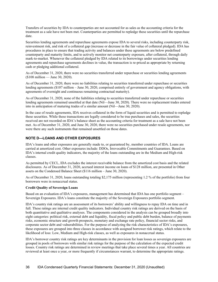Transfers of securities by IDA to counterparties are not accounted for as sales as the accounting criteria for the treatment as a sale have not been met. Counterparties are permitted to repledge these securities until the repurchase date.

Securities lending agreements and repurchase agreements expose IDA to several risks, including counterparty risk, reinvestment risk, and risk of a collateral gap (increase or decrease in the fair value of collateral pledged). IDA has procedures in place to ensure that trading activity and balances under these agreements are below predefined counterparty and maturity limits, and to actively monitor net counterparty exposure, after collateral, through daily mark-to-market. Whenever the collateral pledged by IDA related to its borrowings under securities lending agreements and repurchase agreements declines in value, the transaction is re-priced as appropriate by returning cash or pledging additional collateral.

As of December 31, 2020, there were no securities transferred under repurchase or securities lending agreements (\$108 million — June 30, 2020).

As of December 31, 2020, there were no liabilities relating to securities transferred under repurchase or securities lending agreements (\$107 million – June 30, 2020, comprised entirely of government and agency obligations, with agreements of overnight and continuous remaining contractual maturity).

As of December 31, 2020, none of the liabilities relating to securities transferred under repurchase or securities lending agreements remained unsettled at that date (Nil—June 30, 2020). There were no replacement trades entered into in anticipation of maturing trades of a similar amount (Nil—June 30, 2020).

In the case of resale agreements, IDA receives collateral in the form of liquid securities and is permitted to repledge these securities. While these transactions are legally considered to be true purchases and sales, the securities received are not recorded on IDA's balance sheet as the accounting criteria for treatment as a sale have not been met. As of December 31, 2020, and June 30, 2020, there were no securities purchased under resale agreements, nor were there any such instruments that remained unsettled on those dates.

## **NOTE D—LOANS AND OTHER EXPOSURES**

IDA's loans and other exposures are generally made to, or guaranteed by, member countries of IDA. Loans are carried at amortized cost. Other exposures include: DDOs, Irrevocable Commitments and Guarantees. Based on IDA's internal credit quality indicators, the majority of the loans outstanding are in the Medium and High-risk classes.

As permitted by CECL, IDA excludes the interest receivable balance from the amortized cost basis and the related disclosures. As of December 31, 2020, accrued interest income on loans of \$128 million, are presented in Other assets on the Condensed Balance Sheet (\$116 million – June 30, 2020).

As of December 31, 2020, loans outstanding totaling \$2,175 million (representing 1.2 % of the portfolio) from four borrowers were in nonaccrual status.

## **Credit Quality of Sovereign Loans**

Based on an evaluation of IDA's exposures, management has determined that IDA has one portfolio segment – Sovereign Exposures. IDA's loans constitute the majority of the Sovereign Exposures portfolio segment.

IDA's country risk ratings are an assessment of its borrowers' ability and willingness to repay IDA on time and in full. These ratings are internal credit quality indicators. Individual country risk ratings are derived on the basis of both quantitative and qualitative analyses. The components considered in the analysis can be grouped broadly into eight categories: political risk, external debt and liquidity, fiscal policy and public debt burden, balance of payments risks, economic structure and growth prospects, monetary and exchange rate policy, financial sector risks, and corporate sector debt and vulnerabilities. For the purpose of analyzing the risk characteristics of IDA's exposures, these exposures are grouped into three classes in accordance with assigned borrower risk ratings, which relate to the likelihood of loss: Low, Medium and High-risk classes, as well as exposures in nonaccrual status.

IDA's borrower country risk ratings are key determinants in the provision for loan losses as sovereign exposures are grouped in pools of borrowers with similar risk ratings for the purpose of the calculation of the expected credit losses. Country risk ratings are determined in review meetings that take place several times a year. All countries are reviewed at least once a year, or more frequently if circumstances warrant, to determine the appropriate ratings.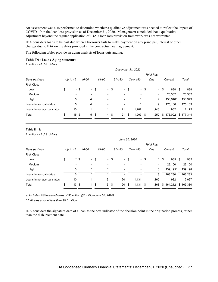An assessment was also performed to determine whether a qualitative adjustment was needed to reflect the impact of COVID-19 in the loan loss provision as of December 31, 2020. Management concluded that a qualitative adjustment beyond the regular application of IDA's loan loss provision framework was not warranted.

IDA considers loans to be past due when a borrower fails to make payment on any principal, interest or other charges due to IDA on the dates provided in the contractual loan agreement.

The following tables provide an aging analysis of loans outstanding:

### **Table D1: Loans-Aging structure**

*In millions of U.S. dollars* 

|                            |            |                          |                |                          |        |                          |          |                          |     | December 31, 2020        |         |                          |       |                      |    |           |
|----------------------------|------------|--------------------------|----------------|--------------------------|--------|--------------------------|----------|--------------------------|-----|--------------------------|---------|--------------------------|-------|----------------------|----|-----------|
|                            |            |                          |                |                          |        |                          |          |                          |     |                          |         | <b>Total Past</b>        |       |                      |    |           |
| Days past due              | Up to $45$ |                          | 61-90<br>46-60 |                          | 91-180 |                          | Over 180 |                          | Due |                          | Current |                          | Total |                      |    |           |
| <b>Risk Class</b>          |            |                          |                |                          |        |                          |          |                          |     |                          |         |                          |       |                      |    |           |
| Low                        | \$         |                          | - \$           | $\sim$                   | -\$    | $-$ \$                   |          | - \$                     |     | - \$                     |         |                          | - \$  | 838                  | \$ | 838       |
| Medium                     |            | $\overline{\phantom{0}}$ |                | $\overline{\phantom{a}}$ |        |                          |          | ٠                        |     | $\overline{\phantom{0}}$ |         | $\overline{\phantom{a}}$ |       | 23,382               |    | 23,382    |
| High                       |            | 5                        |                | 4                        |        | $\overline{\phantom{a}}$ |          | $\overline{\phantom{a}}$ |     | $^\star$                 |         | 9                        |       | 150,940 <sup>a</sup> |    | 150,949   |
| Loans in accrual status    |            | 5                        |                | 4                        |        |                          |          | $\blacksquare$           |     | $\star$                  |         | 9                        |       | 175.160              |    | 175,169   |
| Loans in nonaccrual status |            | 10                       |                |                          |        | 4                        |          | 21                       |     | 1,207                    |         | 1,243                    |       | 932                  |    | 2,175     |
| Total                      |            | 15S                      |                | 5                        | \$     | 4                        | \$       | 21                       | \$  | 1,207                    | \$      | 1,252                    |       | \$176,092            |    | \$177.344 |
|                            |            |                          |                |                          |        |                          |          |                          |     |                          |         |                          |       |                      |    |           |

## **Table D1.1:**

*In millions of U.S. dollars* 

|                            |            |                          |        |                          |       |          |        |                          |      | June 30, 2020            |      |                          |         |                      |       |           |
|----------------------------|------------|--------------------------|--------|--------------------------|-------|----------|--------|--------------------------|------|--------------------------|------|--------------------------|---------|----------------------|-------|-----------|
|                            |            |                          |        |                          |       |          |        |                          |      |                          |      | <b>Total Past</b>        |         |                      |       |           |
| Days past due              | Up to $45$ |                          | 46-60  |                          | 61-90 |          | 91-180 |                          |      | Over 180                 | Due  |                          | Current |                      | Total |           |
| <b>Risk Class</b>          |            |                          |        |                          |       |          |        |                          |      |                          |      |                          |         |                      |       |           |
| Low                        | \$         |                          | $*$ \$ | $\overline{\phantom{0}}$ | \$    | - \$     |        |                          | - \$ |                          | - \$ | $\ast$                   | \$      | 985                  | \$    | 985       |
| Medium                     |            | $\overline{\phantom{0}}$ |        | $\overline{\phantom{a}}$ |       |          |        | $\overline{\phantom{a}}$ |      | $\overline{\phantom{0}}$ |      | $\overline{\phantom{a}}$ |         | 23,100               |       | 23,100    |
| High                       |            | 3                        |        | $\star$                  |       | $\star$  |        | $\overline{\phantom{a}}$ |      | $\blacksquare$           |      | 3                        |         | 139,195 <sup>a</sup> |       | 139,198   |
| Loans in accrual status    |            | 3                        |        | $^\star$                 |       | $^\star$ |        | $\overline{\phantom{0}}$ |      |                          |      | 3                        |         | 163,280              |       | 163,283   |
| Loans in nonaccrual status |            | 10                       |        |                          |       | 3        |        | 20                       |      | 1,131                    |      | 1,165                    |         | 932                  |       | 2,097     |
| Total                      |            | 13S                      |        |                          | \$    | 3        | \$     | 20                       | \$   | 1,131                    | \$   | 1,168                    |         | \$164,212            |       | \$165,380 |
|                            |            |                          |        |                          |       |          |        |                          |      |                          |      |                          |         |                      |       |           |

*a. Includes PSW-related loans of \$8 million (\$5 million-June 30, 2020).* 

*\* Indicates amount less than \$0.5 million* 

IDA considers the signature date of a loan as the best indicator of the decision point in the origination process, rather than the disbursement date.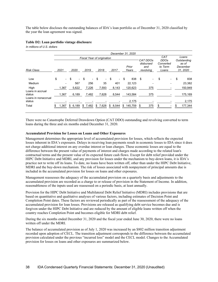The table below discloses the outstanding balances of IDA's loan portfolio as of December 31, 2020 classified by the year the loan agreement was signed.

## **Table D2: Loan portfolio vintage disclosure**

*In millions of U.S. dollars* 

|                                                   | December 31, 2020 |                          |        |                |    |                          |            |                                   |      |         |      |                |    |                                           |                    |                               |       |                                              |  |
|---------------------------------------------------|-------------------|--------------------------|--------|----------------|----|--------------------------|------------|-----------------------------------|------|---------|------|----------------|----|-------------------------------------------|--------------------|-------------------------------|-------|----------------------------------------------|--|
|                                                   |                   |                          |        |                |    |                          |            | <b>Fiscal Year of origination</b> |      |         |      |                |    |                                           | CAT<br><b>DDOs</b> |                               | Loans |                                              |  |
| <b>Risk Class</b>                                 | 2021              |                          |        | 2020           |    | 2019                     |            | 2018                              |      | 2017    |      | Prior<br>Years |    | CAT DDOs<br>disbursed<br>and<br>revolving |                    | Converted<br>to Term<br>Loans |       | Outstanding<br>as of<br>December<br>31, 2020 |  |
| Low                                               | \$                |                          | $-$ \$ | $\blacksquare$ | \$ | $\overline{\phantom{0}}$ | $\sqrt{3}$ | $\overline{\phantom{0}}$          | - \$ |         | - \$ | 838            | \$ | $\overline{\phantom{0}}$                  | \$                 | -                             | \$    | 838                                          |  |
| Medium                                            |                   | $\overline{\phantom{0}}$ |        | 567            |    | 256                      |            | 35                                |      | 401     |      | 22.123         |    | $\overline{\phantom{0}}$                  |                    |                               |       | 23,382                                       |  |
| High                                              |                   | 1,367                    |        | 5,622          |    | 7,226                    |            | 7,593                             |      | 8,143   |      | 120,623        |    | 375                                       |                    |                               |       | 150,949                                      |  |
| Loans in accrual<br>status<br>Loans in nonaccrual |                   | 1.367                    |        | 6,189          |    | 7,482                    |            | 7,628                             |      | 8,544   |      | 143,584        |    | 375                                       |                    |                               |       | 175,169                                      |  |
| status                                            |                   |                          |        |                |    |                          |            |                                   |      |         |      | 2,175          |    |                                           |                    |                               |       | 2,175                                        |  |
| Total                                             | \$.               | 1,367                    | \$     | 6,189          | \$ | 7,482                    |            | \$7,628                           |      | \$8,544 | \$   | 145,759        | S  | 375                                       | \$                 |                               |       | 177,344                                      |  |
|                                                   |                   |                          |        |                |    |                          |            |                                   |      |         |      |                |    |                                           |                    |                               |       |                                              |  |

There were no Catastrophe Deferred Drawdown Option (CAT DDO) outstanding and revolving converted to term loans during the three and six months ended December 31, 2020.

### **Accumulated Provision for Losses on Loans and Other Exposures**

Management determines the appropriate level of accumulated provision for losses, which reflects the expected losses inherent in IDA's exposures. Delays in receiving loan payments result in economic losses to IDA since it does not charge additional interest on any overdue interest or loan charges. These economic losses are equal to the difference between the present value of payments of interest and charges made according to the related loan's contractual terms and the present value of its expected future cash flows. Except for debt relief provided under the HIPC Debt Initiative and MDRI, and any provision for losses under the mechanism to buy-down loans, it is IDA's practice not to write off its loans. To date, no loans have been written off, other than under the HIPC Debt Initiative, MDRI and the buy-down mechanism. The risk of losses associated with nonpayment of principal amounts due is included in the accumulated provision for losses on loans and other exposures.

Management reassesses the adequacy of the accumulated provision on a quarterly basis and adjustments to the accumulated provision are recorded as a charge to or release of provision in the Statement of Income. In addition, reasonableness of the inputs used are reassessed on a periodic basis, at least annually.

Provision for the HIPC Debt Initiative and Multilateral Debt Relief Initiative (MDRI) includes provisions that are based on quantitative and qualitative analyses of various factors, including estimates of Decision Point and Completion Point dates. These factors are reviewed periodically as part of the reassessment of the adequacy of the accumulated provision for loan losses. Provisions are released as qualifying debt service becomes due and is forgiven under the HIPC Debt Initiative and are reduced by the amount of eligible loans written off when the country reaches Completion Point and becomes eligible for MDRI debt relief.

During the six months ended December 31, 2020 and the fiscal year ended June 30, 2020, there were no loans written off under the MDRI.

The balance of accumulated provision as of July 1, 2020 was increased by an \$802 million transition adjustment recorded upon adoption of CECL. The transition adjustment corresponds to the difference between the accumulated provision calculated under the previous "incurred loss" model and the CECL model. Changes to the Accumulated provision for losses on loans and other exposures are summarized below.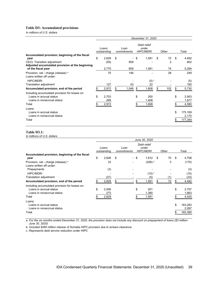## **Table D3: Accumulated provisions**

*In millions of U.S. dollars* 

|                                                                                                         | December 31, 2020 |                      |    |                     |    |                                          |    |                      |    |                             |  |  |
|---------------------------------------------------------------------------------------------------------|-------------------|----------------------|----|---------------------|----|------------------------------------------|----|----------------------|----|-----------------------------|--|--|
|                                                                                                         |                   | Loans<br>outstanding |    | Loan<br>commitments |    | Debt relief<br>under<br><b>HIPC/MDRI</b> |    | Other                |    | Total                       |  |  |
| Accumulated provision, beginning of the fiscal<br>year                                                  | \$                | 2,829                | \$ |                     | \$ | 1,591                                    | \$ | 72                   | \$ | 4,492                       |  |  |
| <b>CECL Transition adjustment</b><br>Adjusted accumulated provision at the beginning                    |                   | (59)                 |    | 859<br>859          |    |                                          |    | $\overline{2}$<br>74 |    | 802                         |  |  |
| of the fiscal year<br>Provision, net - charge (release) <sup>a</sup>                                    |                   | 2,770<br>75          |    | 146                 |    | 1,591                                    |    | 28                   |    | 5,294<br>249                |  |  |
| Loans written off under:<br><b>HIPC/MDRI</b>                                                            |                   |                      |    |                     |    | $(5)$ <sup>c</sup>                       |    |                      |    | (5)                         |  |  |
| Translation adjustment                                                                                  |                   | 127                  |    | 43                  |    | 22                                       |    |                      |    | 192                         |  |  |
| Accumulated provision, end of the period                                                                | \$                | 2,972                | \$ | 1,048               | \$ | 1,608                                    | \$ | 102                  | \$ | 5,730                       |  |  |
| Including accumulated provision for losses on:<br>Loans in accrual status<br>Loans in nonaccrual status | \$                | 2,703<br>269         |    |                     | \$ | 200<br>1,408                             |    |                      | \$ | 2,903<br>1,677              |  |  |
| Total                                                                                                   |                   | 2,972                |    |                     |    | 1,608                                    |    |                      |    | 4,580                       |  |  |
| Loans:<br>Loans in accrual status<br>Loans in nonaccrual status<br>Total                                |                   |                      |    |                     |    |                                          |    |                      | \$ | 175,169<br>2,175<br>177,344 |  |  |

#### **Table D3.1:**

*In millions of U.S. dollars* 

|                                                                            | June 30, 2020 |                      |    |                     |     |                           |       |    |    |         |  |
|----------------------------------------------------------------------------|---------------|----------------------|----|---------------------|-----|---------------------------|-------|----|----|---------|--|
|                                                                            |               |                      |    |                     |     | Debt relief               |       |    |    |         |  |
|                                                                            |               | Loans<br>outstanding |    | Loan<br>commitments |     | under<br><b>HIPC/MDRI</b> | Other |    |    | Total   |  |
| Accumulated provision, beginning of the fiscal                             |               |                      |    |                     |     |                           |       |    |    |         |  |
| year                                                                       | \$            | 2,826                | \$ |                     | -\$ | 1,812                     | \$    | 70 | \$ | 4,708   |  |
| Provision, net - charge (release) <sup>a</sup><br>Loans written off under: |               | 33                   |    |                     |     | $(206)^{b}$               |       | 3  |    | (170)   |  |
| Prepayments                                                                |               | (3)                  |    |                     |     |                           |       |    |    | (3)     |  |
| <b>HIPC/MDRI</b>                                                           |               |                      |    |                     |     | $(10)^c$                  |       |    |    | (10)    |  |
| Translation adjustment                                                     |               | (27)                 |    |                     |     | (5)                       |       |    |    | (33)    |  |
| Accumulated provision, end of the period                                   |               | 2,829                | \$ |                     |     | 1,591                     | \$    | 72 | \$ | 4,492   |  |
| Including accumulated provision for losses on:                             |               |                      |    |                     |     |                           |       |    |    |         |  |
| Loans in accrual status                                                    | \$            | 2,556                |    |                     | \$  | 201                       |       |    | \$ | 2,757   |  |
| Loans in nonaccrual status                                                 |               | 273                  |    |                     |     | 1,390                     |       |    |    | 1,663   |  |
| Total                                                                      |               | 2,829                |    |                     |     | 1,591                     |       |    |    | 4,420   |  |
| Loans:                                                                     |               |                      |    |                     |     |                           |       |    |    |         |  |
| Loans in accrual status                                                    |               |                      |    |                     |     |                           |       |    | \$ | 163,283 |  |
| Loans in nonaccrual status                                                 |               |                      |    |                     |     |                           |       |    |    | 2,097   |  |
| Total                                                                      |               |                      |    |                     |     |                           |       |    |    | 165,380 |  |

*a. For the six months ended December 31, 2020, the provision does not include any discount on prepayment of loans (\$3 million-June 30, 2020)* 

*b. Included \$280 million release of Somalia HIPC provision due to arrears clearance.* 

*c. Represents debt service reduction under HIPC*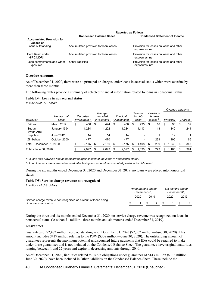|                                                |                                       | <b>Reported as Follows</b>                                |
|------------------------------------------------|---------------------------------------|-----------------------------------------------------------|
|                                                | <b>Condensed Balance Sheet</b>        | <b>Condensed Statement of Income</b>                      |
| <b>Accumulated Provision for</b><br>Losses on: |                                       |                                                           |
| Loans outstanding                              | Accumulated provision for loan losses | Provision for losses on loans and other<br>exposures, net |
| Debt Relief under<br>HIPC/MDRI                 | Accumulated provision for loan losses | Provision for losses on loans and other<br>exposures, net |
| Loan commitments and Other<br>Exposures        | Other liabilities                     | Provision for losses on loans and other<br>exposures, net |

## **Overdue Amounts**

As of December 31, 2020, there were no principal or charges under loans in accrual status which were overdue by more than three months.

The following tables provide a summary of selected financial information related to loans in nonaccrual status:

## **Table D4: Loans in nonaccrual status**

*In millions of U.S. dollars* 

|                           |                     |                                     |                                   |                          |                                 |                                              |    | Overdue amounts |          |
|---------------------------|---------------------|-------------------------------------|-----------------------------------|--------------------------|---------------------------------|----------------------------------------------|----|-----------------|----------|
| Borrower                  | Nonaccrual<br>since | Recorded<br>investment <sup>a</sup> | Average<br>recorded<br>investment | Principal<br>Outstanding | Provision<br>for debt<br>relief | Provision<br>for loan<br>losses <sup>b</sup> |    | Principal       | Charges  |
| Eritrea                   | March 2012          | \$<br>450                           | \$<br>444                         | \$<br>450                | \$<br>295                       | \$<br>16                                     | \$ | 96              | \$<br>32 |
| Sudan<br>Syrian Arab      | January 1994        | 1.234                               | 1.222                             | 1,234                    | 1,113                           | 13                                           |    | 840             | 244      |
| Republic                  | June 2012           | 14                                  | 14                                | 14                       |                                 |                                              |    | 12              |          |
| Zimbabwe                  | October 2000        | 477                                 | 470                               | 477                      |                                 | 239                                          |    | 295             | 66       |
| Total - December 31, 2020 |                     | 2,175                               | 2,150                             | 2,175                    | \$<br>.408                      | 269                                          | S  | 1,243           | 343      |
| Total - June 30, 2020     |                     | 2,097                               | 2,093                             | 2,097                    | 1,390                           | 273                                          | \$ | 1,165           | 324      |

*a. A loan loss provision has been recorded against each of the loans in nonaccrual status.* 

*b. Loan loss provisions are determined after taking into account accumulated provision for debt relief.* 

During the six months ended December 31, 2020 and December 31, 2019, no loans were placed into nonaccrual status.

## **Table D5: Service charge revenue not recognized**

| In millions of U.S. dollars                                                              |                                    |      |  |                                  |      |
|------------------------------------------------------------------------------------------|------------------------------------|------|--|----------------------------------|------|
|                                                                                          | Three months ended<br>December 31. |      |  | Six months ended<br>December 31. |      |
|                                                                                          | 2020                               | 2019 |  | 2020                             | 2019 |
| Service charge revenue not recognized as a result of loans being<br>in nonaccrual status |                                    |      |  |                                  | 9    |

During the three and six months ended December 31, 2020, no service charge revenue was recognized on loans in nonaccrual status (less than \$1 million– three months and six months ended December 31, 2019).

## **Guarantees**

Guarantees of \$2,482 million were outstanding as of December 31, 2020 (\$2,362 million—June 30, 2020). This amount includes \$417 million relating to the PSW (\$308 million—June 30, 2020). The outstanding amount of guarantees represents the maximum potential undiscounted future payments that IDA could be required to make under these guarantees and is not included on the Condensed Balance Sheet. The guarantees have original maturities ranging between 1 and 22 years and expire in decreasing amounts through 2040.

As of December 31, 2020, liabilities related to IDA's obligations under guarantees of \$143 million (\$138 million— June 30, 2020), have been included in Other liabilities on the Condensed Balance Sheet. These include the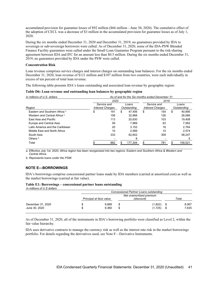accumulated provision for guarantee losses of \$92 million (\$66 million—June 30, 2020). The cumulative effect of the adoption of CECL was a decrease of \$3 million in the accumulated provision for guarantee losses as of July 1, 2020.

During the six months ended December 31, 2020 and December 31, 2019, no guarantees provided by IDA to sovereign or sub-sovereign borrowers were called. As of December 31, 2020, some of the IDA-PSW Blended Finance Facility guarantees were called under the Small Loan Guarantee Program pursuant to the risk-sharing agreement between IDA and IFC for an amount less than \$0.5 million. During the six months ended December 31, 2019, no guarantees provided by IDA under the PSW were called.

## **Concentration Risk**

Loan revenue comprises service charges and interest charges on outstanding loan balances. For the six months ended December 31, 2020, loan revenue of \$121 million and \$107 million from two countries, were each individually in excess of ten percent of total loan revenue.

The following table presents IDA's loans outstanding and associated loan revenue by geographic region:

## **Table D6: Loan revenue and outstanding loan balances by geographic region**

| In millions of U.S. dollars                    | As of and for the Six months ended December 31. |                                        |   |                      |                                        |     |   |                      |  |  |  |  |  |
|------------------------------------------------|-------------------------------------------------|----------------------------------------|---|----------------------|----------------------------------------|-----|---|----------------------|--|--|--|--|--|
|                                                |                                                 | 2020                                   |   |                      | 2019                                   |     |   |                      |  |  |  |  |  |
| Region                                         |                                                 | Service and<br><b>Interest Charges</b> |   | Loans<br>Outstanding | Service and<br><b>Interest Charges</b> |     |   | Loans<br>Outstanding |  |  |  |  |  |
| <b>Eastern and Southern Africa<sup>a</sup></b> | \$                                              | 191                                    | S | 47.406               | \$                                     | 154 | S | 40,895               |  |  |  |  |  |
| Western and Central Africa <sup>a</sup>        |                                                 | 156                                    |   | 32,968               |                                        | 126 |   | 28,066               |  |  |  |  |  |
| East Asia and Pacific                          |                                                 | 113                                    |   | 20.630               |                                        | 103 |   | 19.408               |  |  |  |  |  |
| Europe and Central Asia                        |                                                 | 59                                     |   | 7.989                |                                        | 63  |   | 7,562                |  |  |  |  |  |
| Latin America and the Caribbean                |                                                 | 20                                     |   | 3.152                |                                        | 16  |   | 2.764                |  |  |  |  |  |
| Middle East and North Africa                   |                                                 | 10                                     |   | 2.589                |                                        | 10  |   | 2.574                |  |  |  |  |  |
| South Asia                                     |                                                 | 333                                    |   | 62,602               |                                        | 309 |   | 58.247               |  |  |  |  |  |
| Others <sup>b</sup>                            |                                                 |                                        |   |                      |                                        |     |   |                      |  |  |  |  |  |
| Total                                          |                                                 | 882                                    |   | 177,344              |                                        | 781 |   | 159,521              |  |  |  |  |  |

*a. Effective July 1st, 2020, Africa region has been reorganized into two regions: Eastern and Southern Africa & Western and Central Africa.* 

*b. Represents loans under the PSW.* 

## **NOTE E—BORROWINGS**

IDA's borrowings comprise concessional partner loans made by IDA members (carried at amortized cost) as well as the market borrowings (carried at fair value).

#### **Table E1: Borrowings – concessional partner loans outstanding**  *In millions of U.S dollars*

| Concessional Partner Loans outstanding |                         |            |                         |       |  |  |  |  |  |  |  |
|----------------------------------------|-------------------------|------------|-------------------------|-------|--|--|--|--|--|--|--|
|                                        |                         |            |                         |       |  |  |  |  |  |  |  |
|                                        |                         | (discount) |                         | Total |  |  |  |  |  |  |  |
| 9.889                                  | \$                      | (1,822)    |                         | 8.067 |  |  |  |  |  |  |  |
| 9.360                                  | \$                      | (1,725)    |                         | 7,635 |  |  |  |  |  |  |  |
|                                        | Principal at face value |            | Net unamortized premium |       |  |  |  |  |  |  |  |

As of December 31, 2020, all of the instruments in IDA's borrowing portfolio were classified as Level 2, within the fair value hierarchy.

IDA uses derivative contracts to manage the currency risk as well as the interest rate risk in the market borrowings portfolio. For details regarding the derivatives used, see Note F—Derivative Instruments.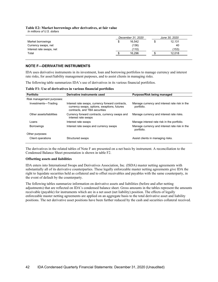### **Table E2: Market borrowings after derivatives, at fair value**

*In millions of U.S. dollars* 

|                          | December 31, 2020 | June 30, 2020 |  |        |
|--------------------------|-------------------|---------------|--|--------|
| Market borrowings        | S                 | 16.542        |  | 12,131 |
| Currency swaps, net      |                   | (136)         |  | 40     |
| Interest rate swaps, net |                   | (110)         |  | (153)  |
| Total                    |                   | 16.296        |  | 12.018 |

## **NOTE F—DERIVATIVE INSTRUMENTS**

IDA uses derivative instruments in its investment, loan and borrowing portfolios to manage currency and interest rate risks, for asset/liability management purposes, and to assist clients in managing risks.

The following table summarizes IDA's use of derivatives in its various financial portfolios.

**Table F1: Use of derivatives in various financial portfolios** 

| <b>Portfolio</b>          | Derivative instruments used                                                                                                      | Purpose/Risk being managed                                  |
|---------------------------|----------------------------------------------------------------------------------------------------------------------------------|-------------------------------------------------------------|
| Risk management purposes: |                                                                                                                                  |                                                             |
| Investments-Trading       | Interest rate swaps, currency forward contracts,<br>currency swaps, options, swaptions, futures<br>contracts, and TBA securities | Manage currency and interest rate risk in the<br>portfolio. |
| Other assets/liabilities  | Currency forward contracts, currency swaps and<br>interest rate swaps                                                            | Manage currency and interest rate risks.                    |
| Loans                     | Interest rate swaps                                                                                                              | Manage interest rate risk in the portfolio.                 |
| <b>Borrowings</b>         | Interest rate swaps and currency swaps                                                                                           | Manage currency and interest rate risk in the<br>portfolio. |
| Other purposes:           |                                                                                                                                  |                                                             |
| Client operations         | Structured swaps                                                                                                                 | Assist clients in managing risks.                           |

The derivatives in the related tables of Note F are presented on a net basis by instrument. A reconciliation to the Condensed Balance Sheet presentation is shown in table F2.

#### **Offsetting assets and liabilities**

IDA enters into International Swaps and Derivatives Association, Inc. (ISDA) master netting agreements with substantially all of its derivative counterparties. These legally enforceable master netting agreements give IDA the right to liquidate securities held as collateral and to offset receivables and payables with the same counterparty, in the event of default by the counterparty.

The following tables summarize information on derivative assets and liabilities (before and after netting adjustments) that are reflected on IDA's condensed balance sheet. Gross amounts in the tables represent the amounts receivable (payable) for instruments which are in a net asset (net liability) position. The effects of legally enforceable master netting agreements are applied on an aggregate basis to the total derivative asset and liability positions. The net derivative asset positions have been further reduced by the cash and securities collateral received.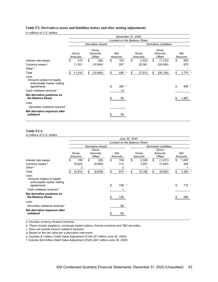## **Table F2: Derivatives assets and liabilities before and after netting adjustments**

*In millions of U.S. dollars* 

|                                                                                 |                  |                            |    |                |   | <b>Located on the Balance Sheet</b> |    |                            |                            |
|---------------------------------------------------------------------------------|------------------|----------------------------|----|----------------|---|-------------------------------------|----|----------------------------|----------------------------|
|                                                                                 |                  | <b>Derivative Assets</b>   |    |                |   |                                     |    | Derivative Liabilities     |                            |
|                                                                                 | Gross<br>Amounts | Gross<br>Amounts<br>Offset |    | Net<br>Amounts |   | Gross<br>Amounts                    |    | Gross<br>Amounts<br>Offset | Net<br>Amounts             |
| Interest rate swaps                                                             | \$<br>215        | \$<br>(56)                 | \$ | 159            |   | \$<br>2,532                         | \$ | (1,732)                    | \$<br>800                  |
| Currency swaps <sup>a</sup>                                                     | 11,201           | (10, 904)                  |    | 297            |   | 25,381                              |    | (24, 406)                  | 975                        |
| Other <sup>b</sup>                                                              |                  |                            |    |                |   |                                     |    |                            |                            |
| Total                                                                           | \$<br>11,416     | \$<br>(10,960)             | \$ | 456            | d | \$<br>27,913                        | \$ | (26, 138)                  | \$<br>$1,775$ <sup>d</sup> |
| Less:<br>Amounts subject to legally<br>enforceable master netting<br>agreements |                  |                            | \$ | $385$ $e$      |   |                                     |    |                            | \$<br>$408$ f              |
| Cash collateral received <sup>c</sup>                                           |                  |                            |    | 13             |   |                                     |    |                            |                            |
| Net derivative positions on<br>the Balance Sheet                                |                  |                            | S  | 58             |   |                                     |    |                            | 1,367                      |
| Less:                                                                           |                  |                            |    |                |   |                                     |    |                            |                            |
| Securities collateral received <sup>c</sup>                                     |                  |                            |    |                |   |                                     |    |                            |                            |
| Net derivative exposure after<br>collateral                                     |                  |                            |    | 58             |   |                                     |    |                            |                            |

## **Table F2.1:**

*In millions of U.S. dollars* 

|                                                                                 |    |                  |    |                            |    | June 30, 2020  |                                     |                  |    |                            |    |                |  |  |
|---------------------------------------------------------------------------------|----|------------------|----|----------------------------|----|----------------|-------------------------------------|------------------|----|----------------------------|----|----------------|--|--|
|                                                                                 |    |                  |    |                            |    |                | <b>Located on the Balance Sheet</b> |                  |    |                            |    |                |  |  |
|                                                                                 |    |                  |    | <b>Derivative Assets</b>   |    |                |                                     |                  |    | Derivative Liabilities     |    |                |  |  |
|                                                                                 |    | Gross<br>Amounts |    | Gross<br>Amounts<br>Offset |    | Net<br>Amounts |                                     | Gross<br>Amounts |    | Gross<br>Amounts<br>Offset |    | Net<br>Amounts |  |  |
| Interest rate swaps                                                             | \$ | 189              | \$ | (30)                       | \$ | 159            | \$                                  | 2,328            | \$ | (1,231)                    | \$ | 1,097          |  |  |
| Currency swaps <sup>a</sup>                                                     |    | 10,622           |    | (9,909)                    |    | 713            |                                     | 7,857            |    | (7, 593)                   |    | 264            |  |  |
| Other <sup>b</sup>                                                              |    | 3                |    |                            |    | 3              |                                     |                  |    |                            |    |                |  |  |
| Total                                                                           | S  | 10,814           | \$ | (9,939)                    | \$ | 875<br>d       | \$                                  | 10,186           | \$ | (8,824)                    | \$ | 1,362          |  |  |
| Less:<br>Amounts subject to legally<br>enforceable master netting<br>agreements |    |                  |    |                            | \$ | 738<br>e       |                                     |                  |    |                            | \$ | $772$ f        |  |  |
| Cash collateral received <sup>c</sup>                                           |    |                  |    |                            |    |                |                                     |                  |    |                            |    |                |  |  |
| Net derivative positions on<br>the Balance Sheet                                |    |                  |    |                            |    | 136            |                                     |                  |    |                            |    | 590            |  |  |
| Less:<br>Securities collateral received <sup>c</sup>                            |    |                  |    |                            |    | 68             |                                     |                  |    |                            |    |                |  |  |
| Net derivative exposure after<br>collateral                                     |    |                  |    |                            |    | 68             |                                     |                  |    |                            |    |                |  |  |

*a. Includes currency forward contracts.* 

*b. These include swaptions, exchange traded options, futures contracts and TBA securities.* 

*c. Does not include excess collateral received.* 

*d. Based on the net value per a derivative instrument.* 

*e. Includes \$1 million Credit Value Adjustment (CVA) (\$7 million-June 30, 2020).* 

*f. Includes \$24 million Debit Value Adjustment (DVA) (\$41 million-June 30, 2020).*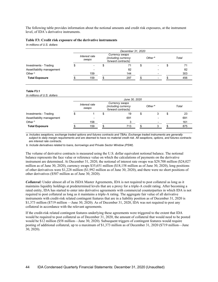The following table provides information about the notional amounts and credit risk exposures, at the instrument level, of IDA's derivative instruments.

#### **Table F3: Credit risk exposure of the derivative instruments**

*In millions of U.S. dollars* 

|                            | December 31, 2020 |                          |  |                                                             |  |                          |       |     |  |  |
|----------------------------|-------------------|--------------------------|--|-------------------------------------------------------------|--|--------------------------|-------|-----|--|--|
|                            |                   | Interest rate<br>swaps   |  | Currency swaps<br>(including currency<br>forward contracts) |  | Other <sup>a</sup>       | Total |     |  |  |
| Investments - Trading      |                   |                          |  | 71                                                          |  | $\overline{\phantom{0}}$ | Φ     | 71  |  |  |
| Asset/liability management |                   | $\overline{\phantom{a}}$ |  | 82                                                          |  | $\overline{\phantom{0}}$ |       | 82  |  |  |
| Other <sup>b</sup>         |                   | 159                      |  | 144                                                         |  |                          |       | 303 |  |  |
| <b>Total Exposure</b>      |                   | 159                      |  | 297                                                         |  |                          |       | 456 |  |  |
|                            |                   |                          |  |                                                             |  |                          |       |     |  |  |

#### **Table F3.1**

*In millions of U.S. dollars* 

|                            | June 30, 2020 |                        |  |                                                                    |  |                    |       |     |  |  |
|----------------------------|---------------|------------------------|--|--------------------------------------------------------------------|--|--------------------|-------|-----|--|--|
|                            |               | Interest rate<br>swaps |  | Currency swaps<br><i>(including currency</i><br>forward contracts) |  | Other <sup>a</sup> | Total |     |  |  |
| Investments - Trading      |               |                        |  | 19                                                                 |  |                    |       | 23  |  |  |
| Asset/liability management |               |                        |  | 691                                                                |  |                    |       | 691 |  |  |
| Other <sup>b</sup>         |               | 158                    |  |                                                                    |  |                    |       | 161 |  |  |
| <b>Total Exposure</b>      |               | 159                    |  | 713                                                                |  |                    |       | 875 |  |  |

 *a. Includes swaptions, exchange traded options and futures contracts and TBAs. Exchange traded instruments are generally subject to daily margin requirements and are deemed to have no material credit risk. All swaptions, options, and futures contracts are interest rate contracts.* 

*b. Include derivatives related to loans, borrowings and Private Sector Window (PSW).* 

The volume of derivative contracts is measured using the U.S. dollar equivalent notional balance. The notional balance represents the face value or reference value on which the calculations of payments on the derivative instrument are determined. At December 31, 2020, the notional of interest rate swaps was \$29,708 million (\$24,027 million as of June 30, 2020), currency swaps \$35,651 million (\$18,158 million as of June 30, 2020), long positions of other derivatives were \$1,228 million (\$1,992 million as of June 30, 2020), and there were no short positions of other derivatives (\$507 million as of June 30, 2020).

*Collateral:* Under almost all of its ISDA Master Agreements, IDA is not required to post collateral as long as it maintains liquidity holdings at predetermined levels that are a proxy for a triple-A credit rating. After becoming a rated entity, IDA has started to enter into derivative agreements with commercial counterparties in which IDA is not required to post collateral as long as it maintains a triple-A rating. The aggregate fair value of all derivative instruments with credit-risk related contingent features that are in a liability position as of December 31, 2020 is \$1,373 million (\$719 million —June 30, 2020). As of December 31, 2020, IDA was not required to post any collateral in accordance with the relevant agreements.

If the credit-risk related contingent features underlying these agreements were triggered to the extent that IDA would be required to post collateral as of December 31, 2020, the amount of collateral that would need to be posted would be \$12 million (\$58 million—June 30, 2020). Subsequent triggers of contingent features would require posting of additional collateral, up to a maximum of \$1,373 million as of December 31, 2020 (\$719 million—June 30, 2020).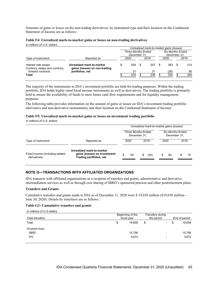Amounts of gains or losses on the non-trading derivatives, by instrument type and their location on the Condensed Statement of Income are as follows:

|  | Table F4: Unrealized mark-to-market gains or losses on non-trading derivatives |  |  |  |  |
|--|--------------------------------------------------------------------------------|--|--|--|--|
|  |                                                                                |  |  |  |  |

| In millions of U.S. dollars |
|-----------------------------|
|-----------------------------|

|                                                    |                                                            | Unrealized mark-to-market gains (losses) |                                           |  |      |  |                                         |  |      |  |  |  |
|----------------------------------------------------|------------------------------------------------------------|------------------------------------------|-------------------------------------------|--|------|--|-----------------------------------------|--|------|--|--|--|
|                                                    |                                                            |                                          | <b>Three Months Ended</b><br>December 31. |  |      |  | <b>Six Months Ended</b><br>December 31. |  |      |  |  |  |
| Type of instrument                                 | Reported as                                                |                                          | 2020                                      |  | 2019 |  | 2020                                    |  | 2019 |  |  |  |
| Interest rate swaps<br>Currency swaps and currency | Unrealized mark-to-market<br>gains (losses) on non-trading |                                          | 204                                       |  | 207  |  | 383                                     |  | 210  |  |  |  |
| forward contracts                                  | portfolios, net                                            |                                          | 31                                        |  | 31   |  | (28)                                    |  | 80   |  |  |  |
| Total                                              |                                                            |                                          | 235                                       |  | 238  |  | 355                                     |  | 290  |  |  |  |

The majority of the instruments in IDA's investment portfolio are held for trading purposes. Within the trading portfolio, IDA holds highly rated fixed income instruments as well as derivatives. The trading portfolio is primarily held to ensure the availability of funds to meet future cash flow requirements and for liquidity management purposes.

The following table provides information on the amount of gains or losses on IDA's investment trading portfolio (derivative and non-derivative instruments), and their location on the Condensed Statement of Income:

#### **Table F5: Unrealized mark-to-market gains or losses on investment trading portfolio**

*In millions of U.S. dollars* 

|                                                 |                                                                                       | Unrealized mark-to-market gains (losses) |                                           |                                         |    |  |  |  |  |  |
|-------------------------------------------------|---------------------------------------------------------------------------------------|------------------------------------------|-------------------------------------------|-----------------------------------------|----|--|--|--|--|--|
|                                                 |                                                                                       |                                          | <b>Three Months Ended</b><br>December 31. | <b>Six Months Ended</b><br>December 31, |    |  |  |  |  |  |
| Type of instrument                              | Reported as                                                                           | 2019                                     | 2020                                      | 2019                                    |    |  |  |  |  |  |
| Fixed income (including related<br>derivatives) | Unrealized mark-to-market<br>gains (losses) on Investment-<br>Trading portfolios, net | 65<br>\$.                                | (24)<br>S                                 | 84<br>S                                 | 19 |  |  |  |  |  |

## **NOTE G—TRANSACTIONS WITH AFFILIATED ORGANIZATIONS**

IDA transacts with affiliated organizations as a recipient of transfers and grants, administrative and derivative intermediation services as well as through cost sharing of IBRD's sponsored pension and other postretirement plans.

## **Transfers and Grants**

Cumulative transfers and grants made to IDA as of December 31, 2020 were \$ 19,658 million (\$19,658 million— June 30, 2020). Details by transferor are as follows:

### **Table G1: Cumulative transfers and grants**

|                        | Beginning of the | Transfers during |            |                          |               |
|------------------------|------------------|------------------|------------|--------------------------|---------------|
| <b>Total transfers</b> |                  | fiscal year      | the period |                          | End of period |
| Total                  | \$               | 19.658           | \$         | $\overline{\phantom{a}}$ | \$<br>19,658  |
| Of which from:         |                  |                  |            |                          |               |
| <b>IBRD</b>            |                  | 15,756           |            | -                        | 15,756        |
| IFC                    |                  | 3,672            |            | $\overline{\phantom{0}}$ | 3,672         |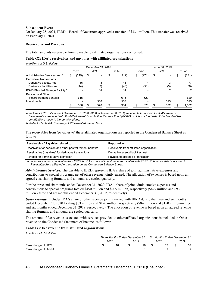## **Subsequent Event**

On January 25, 2021, IBRD's Board of Governors approved a transfer of \$331 million. This transfer was received on February 1, 2021.

## **Receivables and Payables**

The total amounts receivable from (payable to) affiliated organizations comprised:

## **Table G2: IDA's receivables and payables with affiliated organizations**

#### *In millions of U.S. dollars*

|                                                           | December 31, 2020 |     |          |  | June 30, 2020 |    |             |    |          |   |            |  |
|-----------------------------------------------------------|-------------------|-----|----------|--|---------------|----|-------------|----|----------|---|------------|--|
|                                                           | <b>IBRD</b>       |     | IFC      |  | Total         |    | <b>IBRD</b> |    | IFC      |   | Total      |  |
| Administrative Services, net a<br>Derivative Transactions | \$<br>(219)       | \$  |          |  | (219)         | \$ | (271)       | \$ |          | Φ | (271)      |  |
| Derivative assets, net<br>Derivative liabilities, net     | 36<br>(44)        |     | 8<br>(2) |  | 44<br>(46)    |    | 74<br>(53)  |    | 3<br>(3) |   | 77<br>(56) |  |
| PSW- Blended Finance Facility b<br>Pension and Other      |                   |     | 14       |  | 14            |    |             |    |          |   | 7          |  |
| <b>Postretirement Benefits</b><br>Investments             | 615               |     | 556      |  | 615<br>556    |    | 620         |    | 625      |   | 620<br>625 |  |
|                                                           | 388               | \$. | 576      |  | 964           |    | 370         |    | 632      | ደ | 1,002      |  |

*a. Includes \$266 million as of December 31, 2020 (\$238 million-June 30, 2020) receivable from IBRD for IDA's share of investments associated with Post-Retirement Contribution Reserve Fund (PCRF), which is a fund established to stabilize contributions made to the pension plans.* 

*b. Refer to Table G4: Summary of PSW-related transactions.* 

The receivables from (payables to) these affiliated organizations are reported in the Condensed Balance Sheet as follows:

| Receivables / Payables related to:                                                                                          | <b>Reported as:</b>                     |
|-----------------------------------------------------------------------------------------------------------------------------|-----------------------------------------|
| Receivable for pension and other postretirement benefits                                                                    | Receivable from affiliated organization |
| Receivables (payables) for derivative transactions                                                                          | Derivative assets/liabilities, net      |
| Payable for administrative services <sup>a</sup>                                                                            | Payable to affiliated organization      |
| a lealudas amounto resolvable from IPPD for IDA's abora of investments associated with PCPE. This resolvable is included in |                                         |

*a. Includes amounts receivable from IBRD for IDA's share of investments associated with PCRF. This receivable is included in Receivable from affiliated organization on the Condensed Balance Sheet.* 

*Administrative Services*: The payable to IBRD represents IDA's share of joint administrative expenses and contributions to special programs, net of other revenue jointly earned. The allocation of expenses is based upon an agreed cost sharing formula, and amounts are settled quarterly.

For the three and six months ended December 31, 2020, IDA's share of joint administrative expenses and contributions to special programs totaled \$450 million and \$905 million, respectively (\$479 million and \$933 million - three and six months ended December 31, 2019, respectively).

*Other revenue*: Includes IDA's share of other revenue jointly earned with IBRD during the three and six months ended December 31, 2020 totaling \$63 million and \$120 million, respectively (\$84 million and \$150 million—three and six months ended December 31, 2019, respectively). The allocation of revenue is based upon an agreed revenue sharing formula, and amounts are settled quarterly.

The amount of fee revenue associated with services provided to other affiliated organizations is included in Other revenue on the Condensed Statement of Income, as follows:

#### **Table G3: Fee revenue from affiliated organizations**

 $I \cup \cap \{u\}$ 

|  | Six Months Ended December 31, |      |    |                                         |  |      |      |
|--|-------------------------------|------|----|-----------------------------------------|--|------|------|
|  |                               |      |    |                                         |  |      | 2019 |
|  | 18                            |      | 20 |                                         |  |      |      |
|  |                               |      |    |                                         |  |      |      |
|  |                               | 2020 |    | Three Months Ended December 31.<br>2019 |  | 2020 |      |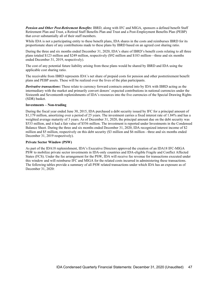*Pension and Other Post-Retirement Benefits***:** IBRD, along with IFC and MIGA, sponsors a defined benefit Staff Retirement Plan and Trust, a Retired Staff Benefits Plan and Trust and a Post-Employment Benefits Plan (PEBP) that cover substantially all of their staff members.

While IDA is not a participating entity to these benefit plans, IDA shares in the costs and reimburses IBRD for its proportionate share of any contributions made to these plans by IBRD based on an agreed cost sharing ratio.

During the three and six months ended December 31, 2020, IDA's share of IBRD's benefit costs relating to all three plans totaled \$123 million and \$249 million, respectively (\$92 million and \$183 million—three and six months ended December 31, 2019, respectively).

The cost of any potential future liability arising from these plans would be shared by IBRD and IDA using the applicable cost sharing ratio.

The receivable from IBRD represents IDA's net share of prepaid costs for pension and other postretirement benefit plans and PEBP assets. These will be realized over the lives of the plan participants.

*Derivative transactions***:** These relate to currency forward contracts entered into by IDA with IBRD acting as the intermediary with the market and primarily convert donors' expected contributions in national currencies under the Sixteenth and Seventeenth replenishments of IDA's resources into the five currencies of the Special Drawing Rights (SDR) basket.

## **Investments – Non-trading**

During the fiscal year ended June 30, 2015, IDA purchased a debt security issued by IFC for a principal amount of \$1,179 million, amortizing over a period of 25 years. The investment carries a fixed interest rate of 1.84% and has a weighted average maturity of 3 years. As of December 31, 2020, the principal amount due on the debt security was \$533 million, and it had a fair value of \$556 million. The investment is reported under Investments in the Condensed Balance Sheet. During the three and six months ended December 31, 2020, IDA recognized interest income of \$2 million and \$5 million, respectively on this debt security (\$3 million and \$6 million - three and six months ended December 31, 2019 respectively).

### **Private Sector Window (PSW)**

As part of the IDA18 replenishment, IDA's Executive Directors approved the creation of an IDA18 IFC-MIGA PSW to mobilize private sector investments in IDA-only countries and IDA-eligible Fragile and Conflict Affected States (FCS). Under the fee arrangement for the PSW, IDA will receive fee revenue for transactions executed under this window and will reimburse IFC and MIGA for the related costs incurred in administering these transactions. The following tables provide a summary of all PSW related transactions under which IDA has an exposure as of December 31, 2020: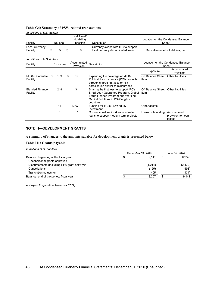## **Table G4: Summary of PSW-related transactions**

| In millions of U.S. dollars        |                                                                                                                            |          |    |                          |                                                                                                                                                                        |                                     |                                             |  |
|------------------------------------|----------------------------------------------------------------------------------------------------------------------------|----------|----|--------------------------|------------------------------------------------------------------------------------------------------------------------------------------------------------------------|-------------------------------------|---------------------------------------------|--|
|                                    | Net Asset/<br>(Liability)<br>Location on the Condensed Balance<br>Notional<br>position<br>Description<br>Sheet<br>Facility |          |    |                          |                                                                                                                                                                        |                                     |                                             |  |
| Local Currency<br>Facility         | \$                                                                                                                         | 85       | \$ | 6                        | Currency swaps with IFC to support<br>local currency denominated loans                                                                                                 | Derivative assets/ liabilities, net |                                             |  |
| In millions of U.S. dollars        |                                                                                                                            |          |    |                          |                                                                                                                                                                        |                                     |                                             |  |
| Facility                           |                                                                                                                            | Exposure |    | Accumulated<br>Provision | Description                                                                                                                                                            |                                     | Location on the Condensed Balance<br>Sheet  |  |
|                                    |                                                                                                                            |          |    |                          |                                                                                                                                                                        | Exposure                            | Accumulated<br>Provision                    |  |
| <b>MIGA Guarantee</b><br>Facility  | \$                                                                                                                         | 169      | \$ | 19                       | Expanding the coverage of MIGA<br>Political Risk Insurance (PRI) products<br>through shared first-loss or risk<br>participation similar to reinsurance                 | Off Balance Sheet<br>item           | Other liabilities                           |  |
| <b>Blended Finance</b><br>Facility |                                                                                                                            | 248      |    | 34                       | Sharing the first loss to support IFC's<br>Small Loan Guarantee Program, Global<br>Trade Finance Program and Working<br>Capital Solutions in PSW eligible<br>countries | Off Balance Sheet<br>item           | <b>Other liabilities</b>                    |  |
|                                    |                                                                                                                            | 14       |    | N/A                      | Funding for IFC's PSW equity<br>investment                                                                                                                             | Other assets                        |                                             |  |
|                                    |                                                                                                                            | 8        |    |                          | Concessional senior & sub-ordinated<br>loans to support medium term projects                                                                                           | Loans outstanding                   | Accumulated<br>provision for loan<br>losses |  |

## **NOTE H—DEVELOPMENT GRANTS**

A summary of changes to the amounts payable for development grants is presented below:

## **Table H1: Grants payable**

|                                                           | December 31, 2020 | June 30, 2020 |  |  |
|-----------------------------------------------------------|-------------------|---------------|--|--|
| Balance, beginning of the fiscal year                     | 9.141             | 12,345        |  |  |
| Unconditional grants approved                             |                   |               |  |  |
| Disbursements (including PPA grant activity) <sup>a</sup> | (1,214)           | (2, 472)      |  |  |
| Cancellations                                             | (125)             | (598)         |  |  |
| <b>Translation adjustment</b>                             | 405               | (134)         |  |  |
| Balance, end of the period/fiscal year                    | 8.207             | 9,141         |  |  |

*a. Project Preparation Advances (PPA)*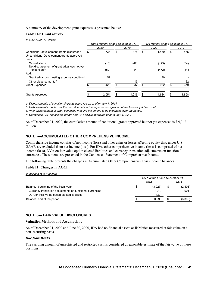A summary of the development grant expenses is presented below:

## **Table H2: Grant activity**

| In millions of U.S dollars                                                                       |              | Three Months Ended December 31. |    |       |     |                                                                                      |      |       |  |  |
|--------------------------------------------------------------------------------------------------|--------------|---------------------------------|----|-------|-----|--------------------------------------------------------------------------------------|------|-------|--|--|
|                                                                                                  | 2020<br>2019 |                                 |    |       |     | 2020                                                                                 | 2019 |       |  |  |
| Conditional Development grants disbursed a<br>Unconditional Development grants approved<br>Less: | \$           | 736                             | \$ | 375   | \$  | Six Months Ended December 31,<br>1,459<br>\$<br>(125)<br>(472)<br>70<br>932<br>4,634 | 455  |       |  |  |
| Cancellations<br>Net disbursement of grant advances not yet                                      |              | (13)                            |    | (47)  |     |                                                                                      |      | (64)  |  |  |
| expensed b<br>Add:                                                                               |              | (352)                           |    | (4)   |     |                                                                                      |      | (34)  |  |  |
| Grant advances meeting expense condition <sup>c</sup><br>Other disbursements d                   |              | 52                              |    | 13    |     |                                                                                      |      | 22    |  |  |
| <b>Grant Expenses</b>                                                                            |              | 423                             | \$ | 337   | \$. |                                                                                      |      | 379   |  |  |
| <b>Grants Approved</b>                                                                           |              | 2,054                           |    | 1,016 |     |                                                                                      |      | 1,858 |  |  |

*a. Disbursements of conditional grants approved on or after July 1, 2019* 

*b. Disbursements made over the period for which the expense recognition criteria has not yet been met.* 

*c. Prior disbursement of grant advances meeting the criteria to be expensed over the period.* 

*d. Comprises PEF conditional grants and CAT DDOs approved prior to July 1, 2019* 

As of December 31, 2020, the cumulative amount of conditional grants approved but not yet expensed is \$ 9,342 million.

## **NOTE I—ACCUMULATED OTHER COMPREHENSIVE INCOME**

Comprehensive income consists of net income (loss) and other gains or losses affecting equity that, under U.S. GAAP, are excluded from net income (loss). For IDA, other comprehensive income (loss) is comprised of net income (loss), DVA on fair value option elected liabilities and currency translation adjustments on functional currencies. These items are presented in the Condensed Statement of Comprehensive Income.

The following table presents the changes in Accumulated Other Comprehensive (Loss) Income balances.

## **Table I1: Changes in AOCI**

*In millions of U.S dollars* 

|                                                           | Six Months Ended December 31, |         |  |         |  |  |  |  |  |
|-----------------------------------------------------------|-------------------------------|---------|--|---------|--|--|--|--|--|
|                                                           |                               | 2020    |  | 2019    |  |  |  |  |  |
| Balance, beginning of the fiscal year                     |                               | (3,927) |  | (2,408) |  |  |  |  |  |
| Currency translation adjustments on functional currencies |                               | 7.249   |  | (901)   |  |  |  |  |  |
| DVA on Fair Value option elected liabilities              |                               | (32)    |  |         |  |  |  |  |  |
| Balance, end of the period                                |                               | 3.290   |  | (3,309) |  |  |  |  |  |

## **NOTE J— FAIR VALUE DISCLOSURES**

#### **Valuation Methods and Assumptions**

As of December 31, 2020 and June 30, 2020, IDA had no financial assets or liabilities measured at fair value on a non–recurring basis.

#### *Due from Banks*

The carrying amount of unrestricted and restricted cash is considered a reasonable estimate of the fair value of these positions.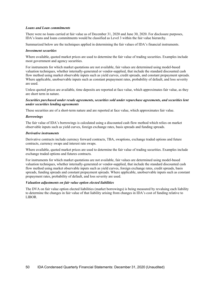## *Loans and Loan commitments*

There were no loans carried at fair value as of December 31, 2020 and June 30, 2020. For disclosure purposes, IDA's loans and loans commitments would be classified as Level 3 within the fair value hierarchy.

Summarized below are the techniques applied in determining the fair values of IDA's financial instruments.

## *Investment securities*

Where available, quoted market prices are used to determine the fair value of trading securities. Examples include most government and agency securities.

For instruments for which market quotations are not available, fair values are determined using model-based valuation techniques, whether internally-generated or vendor-supplied, that include the standard discounted cash flow method using market observable inputs such as yield curves, credit spreads, and constant prepayment spreads. Where applicable, unobservable inputs such as constant prepayment rates, probability of default, and loss severity are used.

Unless quoted prices are available, time deposits are reported at face value, which approximates fair value, as they are short term in nature.

## *Securities purchased under resale agreements, securities sold under repurchase agreements, and securities lent under securities lending agreements*

These securities are of a short-term nature and are reported at face value, which approximates fair value.

## *Borrowings*

The fair value of IDA's borrowings is calculated using a discounted cash flow method which relies on market observable inputs such as yield curves, foreign exchange rates, basis spreads and funding spreads.

## *Derivative instruments*

Derivative contracts include currency forward contracts, TBA, swaptions, exchange traded options and future contracts, currency swaps and interest rate swaps.

Where available, quoted market prices are used to determine the fair value of trading securities. Examples include exchange traded options and futures contracts.

For instruments for which market quotations are not available, fair values are determined using model-based valuation techniques, whether internally-generated or vendor-supplied, that include the standard discounted cash flow method using market observable inputs such as yield curves, foreign exchange rates, credit spreads, basis spreads, funding spreads and constant prepayment spreads. Where applicable, unobservable inputs such as constant prepayment rates, probability of default, and loss severity are used.

## *Valuation adjustments on fair value option elected liabilities*

The DVA on fair value option elected liabilities (market borrowings) is being measured by revaluing each liability to determine the changes in fair value of that liability arising from changes in IDA's cost of funding relative to LIBOR.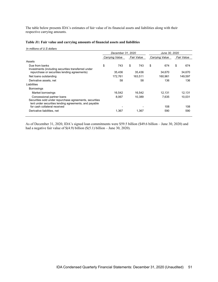The table below presents IDA's estimates of fair value of its financial assets and liabilities along with their respective carrying amounts.

## **Table J1: Fair value and carrying amounts of financial assets and liabilities**

*In millions of U.S dollars* 

|                                                                                                                                                | December 31, 2020 |            | June 30, 2020 |                |    |                   |
|------------------------------------------------------------------------------------------------------------------------------------------------|-------------------|------------|---------------|----------------|----|-------------------|
|                                                                                                                                                | Carrying Value    | Fair Value |               | Carrying Value |    | <b>Fair Value</b> |
| Assets                                                                                                                                         |                   |            |               |                |    |                   |
| Due from banks<br>Investments (including securities transferred under                                                                          | \$<br>743         | \$<br>743  | \$            | 674            | \$ | 674               |
| repurchase or securities lending agreements)                                                                                                   | 35,436            | 35,436     |               | 34.670         |    | 34,670            |
| Net loans outstanding                                                                                                                          | 172,761           | 163,511    |               | 160.961        |    | 149,597           |
| Derivative assets, net                                                                                                                         | 58                | 58         |               | 136            |    | 136               |
| Liabilities                                                                                                                                    |                   |            |               |                |    |                   |
| <b>Borrowings</b>                                                                                                                              |                   |            |               |                |    |                   |
| Market borrowings                                                                                                                              | 16,542            | 16,542     |               | 12,131         |    | 12,131            |
| Concessional partner loans<br>Securities sold under repurchase agreements, securities<br>lent under securities lending agreements, and payable | 8.067             | 10.389     |               | 7.635          |    | 10.031            |
| for cash collateral received                                                                                                                   |                   |            |               | 108            |    | 108               |
| Derivative liabilities, net                                                                                                                    | 1,367             | 1,367      |               | 590            |    | 590               |

As of December 31, 2020, IDA's signed loan commitments were \$59.5 billion (\$49.6 billion – June 30, 2020) and had a negative fair value of \$(4.9) billion (\$(5.1) billion – June 30, 2020).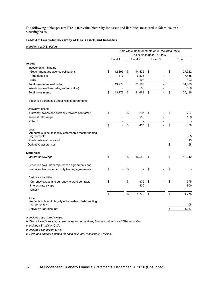The following tables present IDA's fair value hierarchy for assets and liabilities measured at fair value on a recurring basis.

## **Table J2: Fair value hierarchy of IDA's assets and liabilities**

*In millions of U.S. dollars* 

|                                                                | Fair Value Measurements on a Recurring Basis |         |    |         |         |  |    |        |  |
|----------------------------------------------------------------|----------------------------------------------|---------|----|---------|---------|--|----|--------|--|
|                                                                |                                              |         |    |         |         |  |    |        |  |
|                                                                |                                              | Level 1 |    | Level 2 | Level 3 |  |    | Total  |  |
| Assets:                                                        |                                              |         |    |         |         |  |    |        |  |
| Investments-Trading                                            |                                              |         |    |         |         |  |    |        |  |
| Government and agency obligations                              | \$                                           | 12,896  | \$ | 14,426  | \$      |  | \$ | 27,322 |  |
| Time deposits                                                  |                                              | 877     |    | 6,578   |         |  |    | 7,455  |  |
| <b>ABS</b>                                                     |                                              |         |    | 103     |         |  |    | 103    |  |
| Total Investments-Trading                                      |                                              | 13,773  |    | 21,107  |         |  |    | 34,880 |  |
| Investments-Non-trading (at fair value)                        |                                              |         |    | 556     |         |  |    | 556    |  |
| <b>Total Investments</b>                                       | \$                                           | 13,773  | \$ | 21,663  | \$      |  | \$ | 35,436 |  |
| Securities purchased under resale agreements                   |                                              |         |    |         |         |  |    |        |  |
| Derivative assets:                                             |                                              |         |    |         |         |  |    |        |  |
| Currency swaps and currency forward contracts <sup>a</sup>     | \$                                           |         | \$ | 297     | \$      |  | \$ | 297    |  |
| Interest rate swaps                                            |                                              |         |    | 159     |         |  |    | 159    |  |
| Other <sup>b</sup>                                             |                                              |         |    |         |         |  |    |        |  |
|                                                                | \$                                           |         | \$ | 456     | \$      |  | \$ | 456    |  |
| Less:<br>Amounts subject to legally enforceable master netting |                                              |         |    |         |         |  |    |        |  |
| agreements <sup>c</sup>                                        |                                              |         |    |         |         |  |    | 385    |  |
| Cash collateral received                                       |                                              |         |    |         |         |  |    | 13     |  |
| Derivative assets, net                                         |                                              |         |    |         |         |  | \$ | 58     |  |
| Liabilities:                                                   |                                              |         |    |         |         |  |    |        |  |
| <b>Market Borrowings</b>                                       | \$                                           |         | \$ | 16,542  | \$      |  | \$ | 16,542 |  |
| Securities sold under repurchase agreements and                |                                              |         |    |         |         |  |    |        |  |
| securities lent under security lending agreements <sup>e</sup> | \$                                           |         | \$ |         | \$      |  | \$ |        |  |
| Derivative liabilities:                                        |                                              |         |    |         |         |  |    |        |  |
| Currency swaps and currency forward contracts                  | \$                                           |         | \$ | 975     | \$      |  | \$ | 975    |  |
| Interest rate swaps                                            |                                              |         |    | 800     |         |  |    | 800    |  |
| Other <sup>b</sup>                                             |                                              |         |    |         |         |  |    |        |  |
|                                                                | \$                                           |         | \$ | 1,775   | \$      |  | \$ | 1,775  |  |
| Less:<br>Amounts subject to legally enforceable master netting |                                              |         |    |         |         |  |    |        |  |
| agreements <sup>d</sup>                                        |                                              |         |    |         |         |  |    | 408    |  |
| Derivative liabilities, net                                    |                                              |         |    |         |         |  | \$ | 1,367  |  |

*a. Includes structured swaps.* 

*b. These include swaptions, exchange traded options, futures contracts and TBA securities.* 

*c. Includes \$1 million CVA.* 

*d. Includes \$24 million DVA.* 

*e. Excludes amount payable for cash collateral received \$13 million.*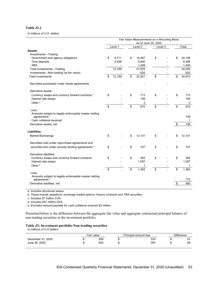## **Table J2.1**

*In millions of U.S. dollars* 

| Total<br>Level 1<br>Level 2<br>Level 3<br>Assets:<br>Investments-Trading<br>9,711<br>\$<br>Government and agency obligations<br>\$<br>\$<br>14,487<br>24,198<br>\$<br>2,458<br>5,940<br>8,398<br>Time deposits<br><b>ABS</b><br>1,449<br>1,449<br>12,169<br>21,876<br>34,045<br>Total Investments-Trading<br>Investments-Non-trading (at fair value)<br>625<br>625<br>\$<br>12,169<br>\$<br>22,501<br>\$<br>34,670<br><b>Total Investments</b><br>\$<br>Securities purchased under resale agreements<br>Derivative assets:<br>\$<br>\$<br>\$<br>713<br>\$<br>713<br>Currency swaps and currency forward contracts a<br>159<br>159<br>Interest rate swaps<br>Other <sup>b</sup><br>3<br>3<br>\$<br>\$<br>875<br>\$<br>\$<br>875<br>Less:<br>Amounts subject to legally enforceable master netting<br>agreements <sup>c</sup><br>738<br>Cash collateral received<br>1<br>\$<br>136<br>Derivative assets, net<br>Liabilities:<br>\$<br>\$<br>12,131<br>\$<br>\$<br><b>Market Borrowings</b><br>12,131<br>Securities sold under repurchase agreements and<br>securities lent under security lending agreements <sup>e</sup><br>\$<br>\$<br>107<br>\$<br>\$<br>107<br>Derivative liabilities:<br>\$<br>\$<br>264<br>\$<br>\$<br>264<br>Currency swaps and currency forward contracts<br>1,097<br>1,097<br>Interest rate swaps<br>Other <sup>b</sup><br>1<br>1<br>\$<br>\$<br>1,362<br>\$<br>\$<br>1,362<br>Less:<br>Amounts subject to legally enforceable master netting<br>agreements <sup>d</sup><br>772<br>\$<br>Derivative liabilities, net<br>590 |  |  | Fair Value Measurements on a Recurring Basis<br>As of June 30, 2020 |  |  |  |
|----------------------------------------------------------------------------------------------------------------------------------------------------------------------------------------------------------------------------------------------------------------------------------------------------------------------------------------------------------------------------------------------------------------------------------------------------------------------------------------------------------------------------------------------------------------------------------------------------------------------------------------------------------------------------------------------------------------------------------------------------------------------------------------------------------------------------------------------------------------------------------------------------------------------------------------------------------------------------------------------------------------------------------------------------------------------------------------------------------------------------------------------------------------------------------------------------------------------------------------------------------------------------------------------------------------------------------------------------------------------------------------------------------------------------------------------------------------------------------------------------------------------------------------------------|--|--|---------------------------------------------------------------------|--|--|--|
|                                                                                                                                                                                                                                                                                                                                                                                                                                                                                                                                                                                                                                                                                                                                                                                                                                                                                                                                                                                                                                                                                                                                                                                                                                                                                                                                                                                                                                                                                                                                                    |  |  |                                                                     |  |  |  |
|                                                                                                                                                                                                                                                                                                                                                                                                                                                                                                                                                                                                                                                                                                                                                                                                                                                                                                                                                                                                                                                                                                                                                                                                                                                                                                                                                                                                                                                                                                                                                    |  |  |                                                                     |  |  |  |
|                                                                                                                                                                                                                                                                                                                                                                                                                                                                                                                                                                                                                                                                                                                                                                                                                                                                                                                                                                                                                                                                                                                                                                                                                                                                                                                                                                                                                                                                                                                                                    |  |  |                                                                     |  |  |  |
|                                                                                                                                                                                                                                                                                                                                                                                                                                                                                                                                                                                                                                                                                                                                                                                                                                                                                                                                                                                                                                                                                                                                                                                                                                                                                                                                                                                                                                                                                                                                                    |  |  |                                                                     |  |  |  |
|                                                                                                                                                                                                                                                                                                                                                                                                                                                                                                                                                                                                                                                                                                                                                                                                                                                                                                                                                                                                                                                                                                                                                                                                                                                                                                                                                                                                                                                                                                                                                    |  |  |                                                                     |  |  |  |
|                                                                                                                                                                                                                                                                                                                                                                                                                                                                                                                                                                                                                                                                                                                                                                                                                                                                                                                                                                                                                                                                                                                                                                                                                                                                                                                                                                                                                                                                                                                                                    |  |  |                                                                     |  |  |  |
|                                                                                                                                                                                                                                                                                                                                                                                                                                                                                                                                                                                                                                                                                                                                                                                                                                                                                                                                                                                                                                                                                                                                                                                                                                                                                                                                                                                                                                                                                                                                                    |  |  |                                                                     |  |  |  |
|                                                                                                                                                                                                                                                                                                                                                                                                                                                                                                                                                                                                                                                                                                                                                                                                                                                                                                                                                                                                                                                                                                                                                                                                                                                                                                                                                                                                                                                                                                                                                    |  |  |                                                                     |  |  |  |
|                                                                                                                                                                                                                                                                                                                                                                                                                                                                                                                                                                                                                                                                                                                                                                                                                                                                                                                                                                                                                                                                                                                                                                                                                                                                                                                                                                                                                                                                                                                                                    |  |  |                                                                     |  |  |  |
|                                                                                                                                                                                                                                                                                                                                                                                                                                                                                                                                                                                                                                                                                                                                                                                                                                                                                                                                                                                                                                                                                                                                                                                                                                                                                                                                                                                                                                                                                                                                                    |  |  |                                                                     |  |  |  |
|                                                                                                                                                                                                                                                                                                                                                                                                                                                                                                                                                                                                                                                                                                                                                                                                                                                                                                                                                                                                                                                                                                                                                                                                                                                                                                                                                                                                                                                                                                                                                    |  |  |                                                                     |  |  |  |
|                                                                                                                                                                                                                                                                                                                                                                                                                                                                                                                                                                                                                                                                                                                                                                                                                                                                                                                                                                                                                                                                                                                                                                                                                                                                                                                                                                                                                                                                                                                                                    |  |  |                                                                     |  |  |  |
|                                                                                                                                                                                                                                                                                                                                                                                                                                                                                                                                                                                                                                                                                                                                                                                                                                                                                                                                                                                                                                                                                                                                                                                                                                                                                                                                                                                                                                                                                                                                                    |  |  |                                                                     |  |  |  |
|                                                                                                                                                                                                                                                                                                                                                                                                                                                                                                                                                                                                                                                                                                                                                                                                                                                                                                                                                                                                                                                                                                                                                                                                                                                                                                                                                                                                                                                                                                                                                    |  |  |                                                                     |  |  |  |
|                                                                                                                                                                                                                                                                                                                                                                                                                                                                                                                                                                                                                                                                                                                                                                                                                                                                                                                                                                                                                                                                                                                                                                                                                                                                                                                                                                                                                                                                                                                                                    |  |  |                                                                     |  |  |  |
|                                                                                                                                                                                                                                                                                                                                                                                                                                                                                                                                                                                                                                                                                                                                                                                                                                                                                                                                                                                                                                                                                                                                                                                                                                                                                                                                                                                                                                                                                                                                                    |  |  |                                                                     |  |  |  |
|                                                                                                                                                                                                                                                                                                                                                                                                                                                                                                                                                                                                                                                                                                                                                                                                                                                                                                                                                                                                                                                                                                                                                                                                                                                                                                                                                                                                                                                                                                                                                    |  |  |                                                                     |  |  |  |
|                                                                                                                                                                                                                                                                                                                                                                                                                                                                                                                                                                                                                                                                                                                                                                                                                                                                                                                                                                                                                                                                                                                                                                                                                                                                                                                                                                                                                                                                                                                                                    |  |  |                                                                     |  |  |  |
|                                                                                                                                                                                                                                                                                                                                                                                                                                                                                                                                                                                                                                                                                                                                                                                                                                                                                                                                                                                                                                                                                                                                                                                                                                                                                                                                                                                                                                                                                                                                                    |  |  |                                                                     |  |  |  |
|                                                                                                                                                                                                                                                                                                                                                                                                                                                                                                                                                                                                                                                                                                                                                                                                                                                                                                                                                                                                                                                                                                                                                                                                                                                                                                                                                                                                                                                                                                                                                    |  |  |                                                                     |  |  |  |
|                                                                                                                                                                                                                                                                                                                                                                                                                                                                                                                                                                                                                                                                                                                                                                                                                                                                                                                                                                                                                                                                                                                                                                                                                                                                                                                                                                                                                                                                                                                                                    |  |  |                                                                     |  |  |  |
|                                                                                                                                                                                                                                                                                                                                                                                                                                                                                                                                                                                                                                                                                                                                                                                                                                                                                                                                                                                                                                                                                                                                                                                                                                                                                                                                                                                                                                                                                                                                                    |  |  |                                                                     |  |  |  |
|                                                                                                                                                                                                                                                                                                                                                                                                                                                                                                                                                                                                                                                                                                                                                                                                                                                                                                                                                                                                                                                                                                                                                                                                                                                                                                                                                                                                                                                                                                                                                    |  |  |                                                                     |  |  |  |
|                                                                                                                                                                                                                                                                                                                                                                                                                                                                                                                                                                                                                                                                                                                                                                                                                                                                                                                                                                                                                                                                                                                                                                                                                                                                                                                                                                                                                                                                                                                                                    |  |  |                                                                     |  |  |  |
|                                                                                                                                                                                                                                                                                                                                                                                                                                                                                                                                                                                                                                                                                                                                                                                                                                                                                                                                                                                                                                                                                                                                                                                                                                                                                                                                                                                                                                                                                                                                                    |  |  |                                                                     |  |  |  |
|                                                                                                                                                                                                                                                                                                                                                                                                                                                                                                                                                                                                                                                                                                                                                                                                                                                                                                                                                                                                                                                                                                                                                                                                                                                                                                                                                                                                                                                                                                                                                    |  |  |                                                                     |  |  |  |
|                                                                                                                                                                                                                                                                                                                                                                                                                                                                                                                                                                                                                                                                                                                                                                                                                                                                                                                                                                                                                                                                                                                                                                                                                                                                                                                                                                                                                                                                                                                                                    |  |  |                                                                     |  |  |  |
|                                                                                                                                                                                                                                                                                                                                                                                                                                                                                                                                                                                                                                                                                                                                                                                                                                                                                                                                                                                                                                                                                                                                                                                                                                                                                                                                                                                                                                                                                                                                                    |  |  |                                                                     |  |  |  |
|                                                                                                                                                                                                                                                                                                                                                                                                                                                                                                                                                                                                                                                                                                                                                                                                                                                                                                                                                                                                                                                                                                                                                                                                                                                                                                                                                                                                                                                                                                                                                    |  |  |                                                                     |  |  |  |
|                                                                                                                                                                                                                                                                                                                                                                                                                                                                                                                                                                                                                                                                                                                                                                                                                                                                                                                                                                                                                                                                                                                                                                                                                                                                                                                                                                                                                                                                                                                                                    |  |  |                                                                     |  |  |  |
|                                                                                                                                                                                                                                                                                                                                                                                                                                                                                                                                                                                                                                                                                                                                                                                                                                                                                                                                                                                                                                                                                                                                                                                                                                                                                                                                                                                                                                                                                                                                                    |  |  |                                                                     |  |  |  |
|                                                                                                                                                                                                                                                                                                                                                                                                                                                                                                                                                                                                                                                                                                                                                                                                                                                                                                                                                                                                                                                                                                                                                                                                                                                                                                                                                                                                                                                                                                                                                    |  |  |                                                                     |  |  |  |
|                                                                                                                                                                                                                                                                                                                                                                                                                                                                                                                                                                                                                                                                                                                                                                                                                                                                                                                                                                                                                                                                                                                                                                                                                                                                                                                                                                                                                                                                                                                                                    |  |  |                                                                     |  |  |  |

*a. Includes structured swaps.* 

*b. These include swaptions, exchange traded options, futures contracts and TBA securities.* 

*c. Includes \$7 million CVA.* 

*d. Includes \$41 million DVA.* 

*e. Excludes amount payable for cash collateral received \$2 million.* 

Presented below is the difference between the aggregate fair value and aggregate contractual principal balance of non-trading securities in the investment portfolio:

## **Table J3: Investment portfolio-Non-trading securities**

*In millions of U.S dollars* 

|                   | Fair value | Principal amount due | Difference |  |          |  |
|-------------------|------------|----------------------|------------|--|----------|--|
| December 31, 2020 | 556        |                      | 533        |  | nn<br>ںے |  |
| June 30, 2020     | 625        |                      | 597        |  | 28       |  |
|                   |            |                      |            |  |          |  |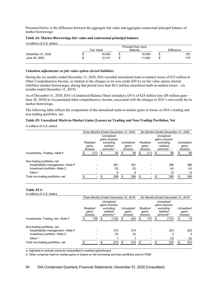Presented below is the difference between the aggregate fair value and aggregate contractual principal balance of market borrowings:

| In millions of U.S. dollars |                           |            |    |          |  |            |  |  |  |  |  |
|-----------------------------|---------------------------|------------|----|----------|--|------------|--|--|--|--|--|
|                             | <b>Principal Due Upon</b> |            |    |          |  |            |  |  |  |  |  |
|                             |                           | Fair Value |    | Maturity |  | Difference |  |  |  |  |  |
| December 31, 2020           |                           | 16.542     | \$ | 16.390   |  | 152        |  |  |  |  |  |
| June 30, 2020               |                           | 12.131     | \$ | 11.952   |  | 179        |  |  |  |  |  |

## **Table J4: Market Borrowings fair value and contractual principal balance**

### *Valuation adjustments on fair value option elected liabilities*

During the six months ended December 31, 2020, IDA recorded unrealized mark-to-market losses of \$32 million in Other Comprehensive Income, in relation to the changes in its own credit (DVA) on fair value option elected liabilities (market borrowings), during that period (less than \$0.5 million unrealized mark-to-market losses – six months ended December 31, 2019).

As of December 31, 2020, IDA's Condensed Balance Sheet included a DVA of \$24 million loss (\$8 million gain— June 30, 2020) in Accumulated other comprehensive income, associated with the changes in IDA's own credit for its market borrowings.

The following table reflects the components of the unrealized mark-to-market gains or losses on IDA's trading and non-trading portfolios, net.

## **Table J5: Unrealized Mark-to-Market Gains (Losses) on Trading and Non-Trading Portfolios, Net**

| In millions of U.S. dollars                                                                     |                               |                                                                               |                                 |                                    |                                                                               |                                 |  |  |  |  |
|-------------------------------------------------------------------------------------------------|-------------------------------|-------------------------------------------------------------------------------|---------------------------------|------------------------------------|-------------------------------------------------------------------------------|---------------------------------|--|--|--|--|
|                                                                                                 |                               | Three Months Ended December 31, 2020                                          |                                 | Six Months Ended December 31, 2020 |                                                                               |                                 |  |  |  |  |
| Investments, Trading-Note F                                                                     | Realized<br>qains<br>(losses) | Unrealized<br>qains (losses)<br>excluding<br>realized<br>amounts <sup>a</sup> | Unrealized<br>qains<br>(losses) | Realized<br>qains<br>(losses)      | Unrealized<br>qains (losses)<br>excluding<br>realized<br>amounts <sup>a</sup> | Unrealized<br>qains<br>(losses) |  |  |  |  |
|                                                                                                 |                               | 82                                                                            | 65                              | '11)<br>S                          | 95                                                                            | 84                              |  |  |  |  |
| Non-trading portfolios, net<br>Asset/liability management-Note F<br>Investment portfolio-Note C |                               | 261<br>(3)                                                                    | 261<br>(3)                      |                                    | 386<br>(4)                                                                    | 386<br>(4)                      |  |  |  |  |
| Other <sup>b</sup>                                                                              |                               | 8                                                                             | 8                               |                                    | 13                                                                            | 13                              |  |  |  |  |
| Total non-trading portfolios, net                                                               |                               | 266                                                                           | 266<br>\$.                      | \$                                 | 395                                                                           | 395<br>£.                       |  |  |  |  |

## **Table J5.1:**

| In millions of U.S. dollars       |                               |     |                                                                               |                                 |                                    |                               |  |                                                                               |                                 |     |  |
|-----------------------------------|-------------------------------|-----|-------------------------------------------------------------------------------|---------------------------------|------------------------------------|-------------------------------|--|-------------------------------------------------------------------------------|---------------------------------|-----|--|
|                                   |                               |     | Three Months Ended December 31, 2019                                          |                                 | Six Months Ended December 31, 2019 |                               |  |                                                                               |                                 |     |  |
|                                   | Realized<br>qains<br>(losses) |     | Unrealized<br>qains (losses)<br>excludina<br>realized<br>amounts <sup>a</sup> | Unrealized<br>qains<br>(losses) |                                    | Realized<br>qains<br>(losses) |  | Unrealized<br>qains (losses)<br>excludina<br>realized<br>amounts <sup>a</sup> | Unrealized<br>qains<br>(losses) |     |  |
| Investments, Trading, net-Note F  |                               | 109 | (133)                                                                         | £.                              | (24)                               | 131                           |  | (112)                                                                         |                                 | 19  |  |
| Non-trading portfolios, net       |                               |     |                                                                               |                                 |                                    |                               |  |                                                                               |                                 |     |  |
| Asset/liability management-Note F |                               |     | 274                                                                           |                                 | 274                                |                               |  | 323                                                                           |                                 | 323 |  |
| Investment portfolio-Note C       |                               |     | (3)                                                                           |                                 | (3)                                |                               |  | 3                                                                             |                                 | 3   |  |
| Other <sup>b</sup>                |                               |     |                                                                               |                                 |                                    |                               |  | (3)                                                                           |                                 | (3) |  |
| Total non-trading portfolios, net |                               |     | 272                                                                           | \$                              | 272                                |                               |  | 323                                                                           |                                 | 323 |  |

*a. Adjusted to exclude amounts reclassified to realized gains/losses.* 

*b. Other comprise mark to market gains or losses on the borrowing and loan portfolios and on PSW.*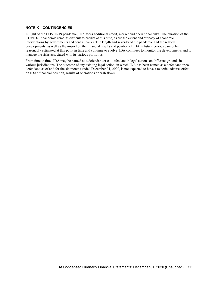## **NOTE K—CONTINGENCIES**

In light of the COVID-19 pandemic, IDA faces additional credit, market and operational risks. The duration of the COVID-19 pandemic remains difficult to predict at this time, as are the extent and efficacy of economic interventions by governments and central banks. The length and severity of the pandemic and the related developments, as well as the impact on the financial results and position of IDA in future periods cannot be reasonably estimated at this point in time and continue to evolve. IDA continues to monitor the developments and to manage the risks associated with its various portfolios.

From time to time, IDA may be named as a defendant or co-defendant in legal actions on different grounds in various jurisdictions. The outcome of any existing legal action, in which IDA has been named as a defendant or codefendant, as of and for the six months ended December 31, 2020, is not expected to have a material adverse effect on IDA's financial position, results of operations or cash flows.